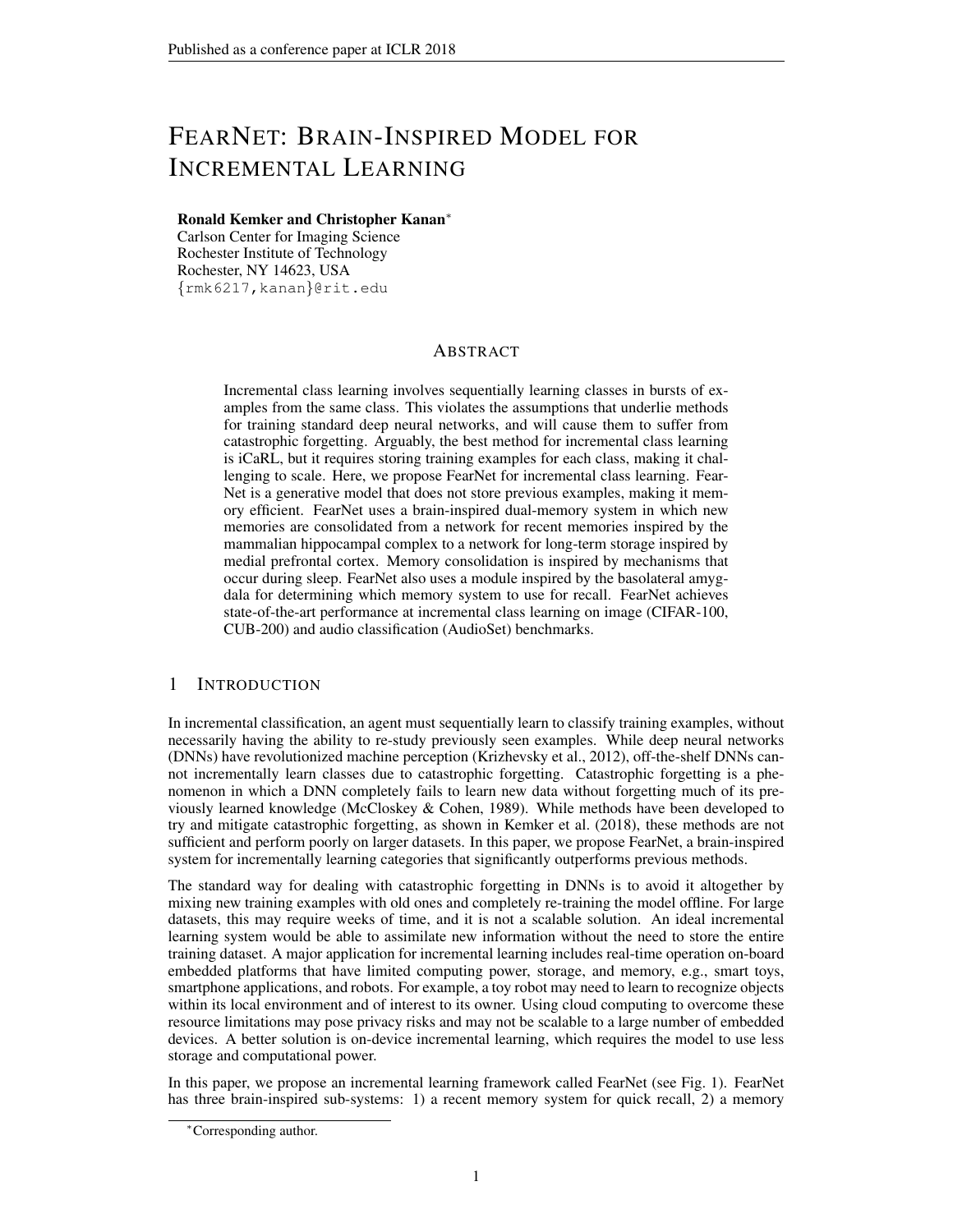# FEARNET: BRAIN-INSPIRED MODEL FOR INCREMENTAL LEARNING

## Ronald Kemker and Christopher Kanan<sup>∗</sup>

Carlson Center for Imaging Science Rochester Institute of Technology Rochester, NY 14623, USA {rmk6217,kanan}@rit.edu

## ABSTRACT

Incremental class learning involves sequentially learning classes in bursts of examples from the same class. This violates the assumptions that underlie methods for training standard deep neural networks, and will cause them to suffer from catastrophic forgetting. Arguably, the best method for incremental class learning is iCaRL, but it requires storing training examples for each class, making it challenging to scale. Here, we propose FearNet for incremental class learning. Fear-Net is a generative model that does not store previous examples, making it memory efficient. FearNet uses a brain-inspired dual-memory system in which new memories are consolidated from a network for recent memories inspired by the mammalian hippocampal complex to a network for long-term storage inspired by medial prefrontal cortex. Memory consolidation is inspired by mechanisms that occur during sleep. FearNet also uses a module inspired by the basolateral amygdala for determining which memory system to use for recall. FearNet achieves state-of-the-art performance at incremental class learning on image (CIFAR-100, CUB-200) and audio classification (AudioSet) benchmarks.

# 1 INTRODUCTION

In incremental classification, an agent must sequentially learn to classify training examples, without necessarily having the ability to re-study previously seen examples. While deep neural networks (DNNs) have revolutionized machine perception [\(Krizhevsky et al., 2012\)](#page-10-0), off-the-shelf DNNs cannot incrementally learn classes due to catastrophic forgetting. Catastrophic forgetting is a phenomenon in which a DNN completely fails to learn new data without forgetting much of its previously learned knowledge (McCloskey  $& Cohen, 1989$ ). While methods have been developed to try and mitigate catastrophic forgetting, as shown in [Kemker et al.](#page-10-2) [\(2018\)](#page-10-2), these methods are not sufficient and perform poorly on larger datasets. In this paper, we propose FearNet, a brain-inspired system for incrementally learning categories that significantly outperforms previous methods.

The standard way for dealing with catastrophic forgetting in DNNs is to avoid it altogether by mixing new training examples with old ones and completely re-training the model offline. For large datasets, this may require weeks of time, and it is not a scalable solution. An ideal incremental learning system would be able to assimilate new information without the need to store the entire training dataset. A major application for incremental learning includes real-time operation on-board embedded platforms that have limited computing power, storage, and memory, e.g., smart toys, smartphone applications, and robots. For example, a toy robot may need to learn to recognize objects within its local environment and of interest to its owner. Using cloud computing to overcome these resource limitations may pose privacy risks and may not be scalable to a large number of embedded devices. A better solution is on-device incremental learning, which requires the model to use less storage and computational power.

In this paper, we propose an incremental learning framework called FearNet (see Fig. [1\)](#page-1-0). FearNet has three brain-inspired sub-systems: 1) a recent memory system for quick recall, 2) a memory

<sup>∗</sup>Corresponding author.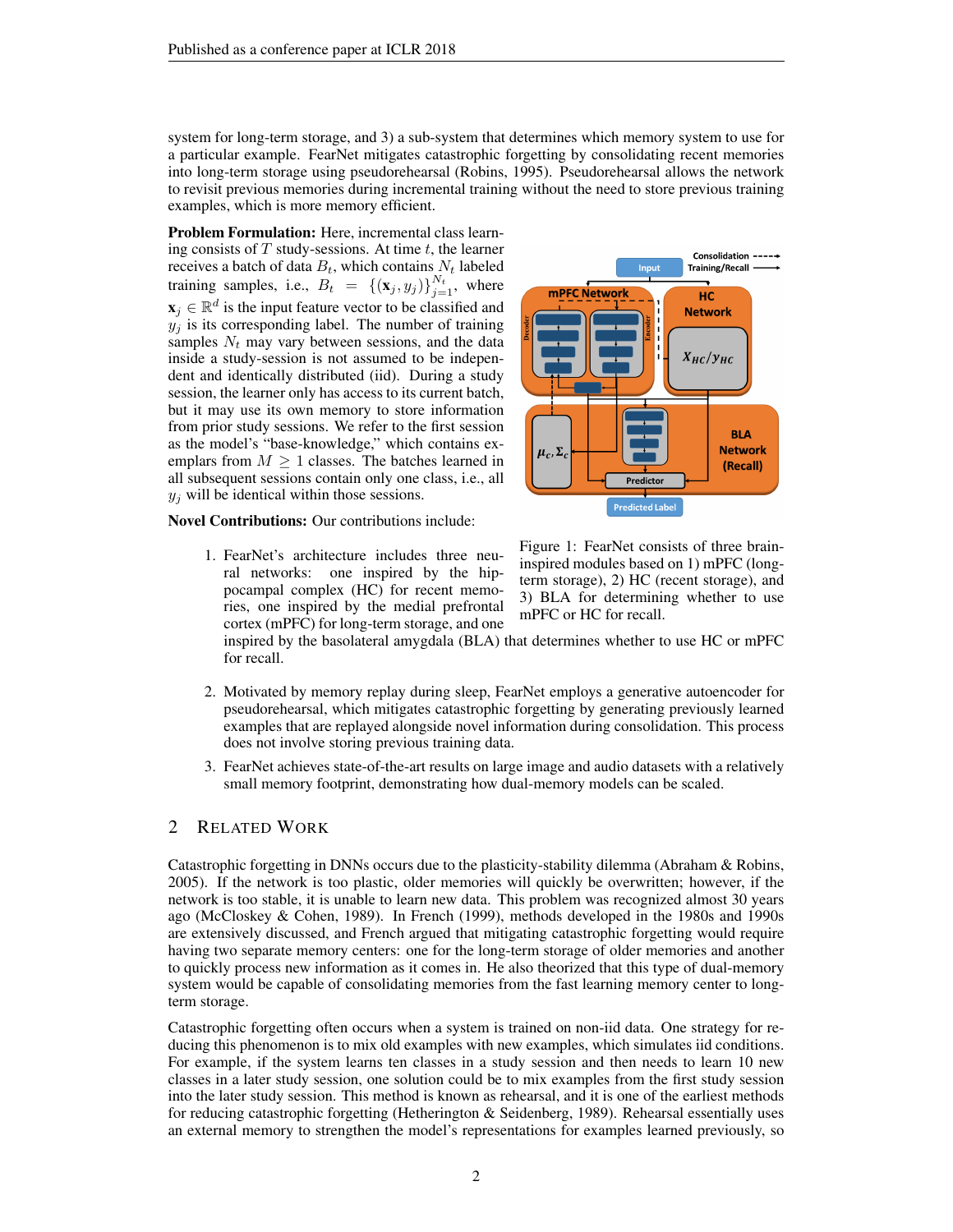system for long-term storage, and 3) a sub-system that determines which memory system to use for a particular example. FearNet mitigates catastrophic forgetting by consolidating recent memories into long-term storage using pseudorehearsal [\(Robins, 1995\)](#page-11-0). Pseudorehearsal allows the network to revisit previous memories during incremental training without the need to store previous training examples, which is more memory efficient.

Problem Formulation: Here, incremental class learning consists of  $T$  study-sessions. At time  $t$ , the learner receives a batch of data  $B_t$ , which contains  $N_t$  labeled training samples, i.e.,  $B_t = \{(\mathbf{x}_j, y_j)\}_{j=1}^{N_t}$ , where  $\mathbf{x}_j \in \mathbb{R}^d$  is the input feature vector to be classified and  $y_j$  is its corresponding label. The number of training samples  $N_t$  may vary between sessions, and the data inside a study-session is not assumed to be independent and identically distributed (iid). During a study session, the learner only has access to its current batch, but it may use its own memory to store information from prior study sessions. We refer to the first session as the model's "base-knowledge," which contains exemplars from  $M \geq 1$  classes. The batches learned in all subsequent sessions contain only one class, i.e., all  $y_j$  will be identical within those sessions.



Novel Contributions: Our contributions include:

1. FearNet's architecture includes three neural networks: one inspired by the hippocampal complex (HC) for recent memories, one inspired by the medial prefrontal cortex (mPFC) for long-term storage, and one <span id="page-1-0"></span>Figure 1: FearNet consists of three braininspired modules based on 1) mPFC (longterm storage), 2) HC (recent storage), and 3) BLA for determining whether to use mPFC or HC for recall.

inspired by the basolateral amygdala (BLA) that determines whether to use HC or mPFC for recall.

- 2. Motivated by memory replay during sleep, FearNet employs a generative autoencoder for pseudorehearsal, which mitigates catastrophic forgetting by generating previously learned examples that are replayed alongside novel information during consolidation. This process does not involve storing previous training data.
- 3. FearNet achieves state-of-the-art results on large image and audio datasets with a relatively small memory footprint, demonstrating how dual-memory models can be scaled.

# 2 RELATED WORK

Catastrophic forgetting in DNNs occurs due to the plasticity-stability dilemma [\(Abraham & Robins,](#page-9-0) [2005\)](#page-9-0). If the network is too plastic, older memories will quickly be overwritten; however, if the network is too stable, it is unable to learn new data. This problem was recognized almost 30 years ago [\(McCloskey & Cohen, 1989\)](#page-10-1). In [French](#page-10-3) [\(1999\)](#page-10-3), methods developed in the 1980s and 1990s are extensively discussed, and French argued that mitigating catastrophic forgetting would require having two separate memory centers: one for the long-term storage of older memories and another to quickly process new information as it comes in. He also theorized that this type of dual-memory system would be capable of consolidating memories from the fast learning memory center to longterm storage.

Catastrophic forgetting often occurs when a system is trained on non-iid data. One strategy for reducing this phenomenon is to mix old examples with new examples, which simulates iid conditions. For example, if the system learns ten classes in a study session and then needs to learn 10 new classes in a later study session, one solution could be to mix examples from the first study session into the later study session. This method is known as rehearsal, and it is one of the earliest methods for reducing catastrophic forgetting [\(Hetherington & Seidenberg, 1989\)](#page-10-4). Rehearsal essentially uses an external memory to strengthen the model's representations for examples learned previously, so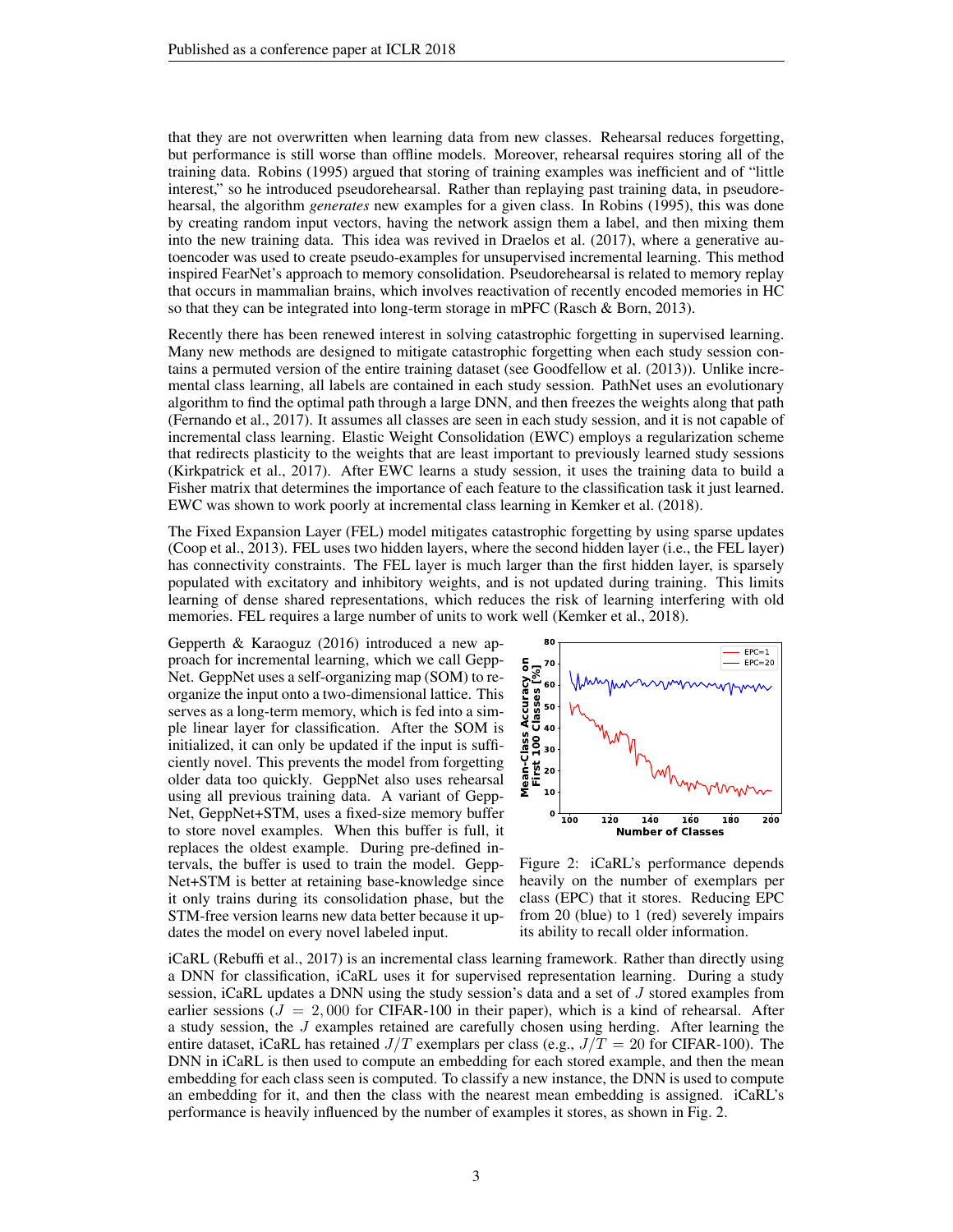that they are not overwritten when learning data from new classes. Rehearsal reduces forgetting, but performance is still worse than offline models. Moreover, rehearsal requires storing all of the training data. [Robins](#page-11-0) [\(1995\)](#page-11-0) argued that storing of training examples was inefficient and of "little interest," so he introduced pseudorehearsal. Rather than replaying past training data, in pseudorehearsal, the algorithm *generates* new examples for a given class. In [Robins](#page-11-0) [\(1995\)](#page-11-0), this was done by creating random input vectors, having the network assign them a label, and then mixing them into the new training data. This idea was revived in [Draelos et al.](#page-9-1) [\(2017\)](#page-9-1), where a generative autoencoder was used to create pseudo-examples for unsupervised incremental learning. This method inspired FearNet's approach to memory consolidation. Pseudorehearsal is related to memory replay that occurs in mammalian brains, which involves reactivation of recently encoded memories in HC so that they can be integrated into long-term storage in mPFC [\(Rasch & Born, 2013\)](#page-10-5).

Recently there has been renewed interest in solving catastrophic forgetting in supervised learning. Many new methods are designed to mitigate catastrophic forgetting when each study session contains a permuted version of the entire training dataset (see [Goodfellow et al.](#page-10-6) [\(2013\)](#page-10-6)). Unlike incremental class learning, all labels are contained in each study session. PathNet uses an evolutionary algorithm to find the optimal path through a large DNN, and then freezes the weights along that path [\(Fernando et al., 2017\)](#page-9-2). It assumes all classes are seen in each study session, and it is not capable of incremental class learning. Elastic Weight Consolidation (EWC) employs a regularization scheme that redirects plasticity to the weights that are least important to previously learned study sessions [\(Kirkpatrick et al., 2017\)](#page-10-7). After EWC learns a study session, it uses the training data to build a Fisher matrix that determines the importance of each feature to the classification task it just learned. EWC was shown to work poorly at incremental class learning in [Kemker et al.](#page-10-2) [\(2018\)](#page-10-2).

The Fixed Expansion Layer (FEL) model mitigates catastrophic forgetting by using sparse updates [\(Coop et al., 2013\)](#page-9-3). FEL uses two hidden layers, where the second hidden layer (i.e., the FEL layer) has connectivity constraints. The FEL layer is much larger than the first hidden layer, is sparsely populated with excitatory and inhibitory weights, and is not updated during training. This limits learning of dense shared representations, which reduces the risk of learning interfering with old memories. FEL requires a large number of units to work well [\(Kemker et al., 2018\)](#page-10-2).

[Gepperth & Karaoguz](#page-10-8) [\(2016\)](#page-10-8) introduced a new approach for incremental learning, which we call Gepp-Net. GeppNet uses a self-organizing map (SOM) to reorganize the input onto a two-dimensional lattice. This serves as a long-term memory, which is fed into a simple linear layer for classification. After the SOM is initialized, it can only be updated if the input is sufficiently novel. This prevents the model from forgetting older data too quickly. GeppNet also uses rehearsal using all previous training data. A variant of Gepp-Net, GeppNet+STM, uses a fixed-size memory buffer to store novel examples. When this buffer is full, it replaces the oldest example. During pre-defined intervals, the buffer is used to train the model. Gepp-Net+STM is better at retaining base-knowledge since it only trains during its consolidation phase, but the STM-free version learns new data better because it updates the model on every novel labeled input.



<span id="page-2-0"></span>Figure 2: iCaRL's performance depends heavily on the number of exemplars per class (EPC) that it stores. Reducing EPC from 20 (blue) to 1 (red) severely impairs its ability to recall older information.

iCaRL [\(Rebuffi et al., 2017\)](#page-11-1) is an incremental class learning framework. Rather than directly using a DNN for classification, iCaRL uses it for supervised representation learning. During a study session, iCaRL updates a DNN using the study session's data and a set of J stored examples from earlier sessions  $(J = 2,000$  for CIFAR-100 in their paper), which is a kind of rehearsal. After a study session, the J examples retained are carefully chosen using herding. After learning the entire dataset, iCaRL has retained  $J/T$  exemplars per class (e.g.,  $J/T = 20$  for CIFAR-100). The DNN in iCaRL is then used to compute an embedding for each stored example, and then the mean embedding for each class seen is computed. To classify a new instance, the DNN is used to compute an embedding for it, and then the class with the nearest mean embedding is assigned. iCaRL's performance is heavily influenced by the number of examples it stores, as shown in Fig. [2.](#page-2-0)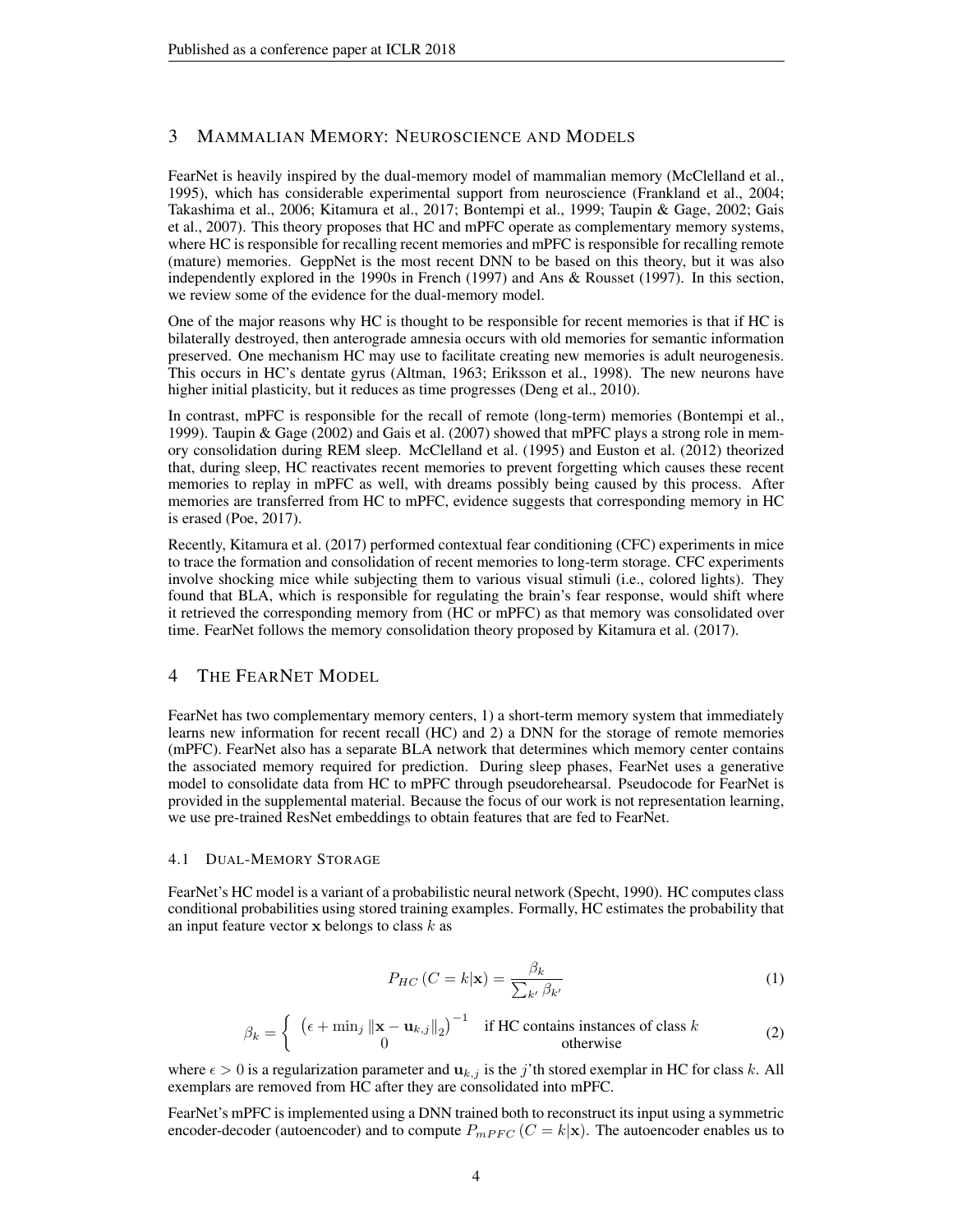# 3 MAMMALIAN MEMORY: NEUROSCIENCE AND MODELS

FearNet is heavily inspired by the dual-memory model of mammalian memory [\(McClelland et al.,](#page-10-9) [1995\)](#page-10-9), which has considerable experimental support from neuroscience [\(Frankland et al., 2004;](#page-9-4) [Takashima et al., 2006;](#page-11-2) [Kitamura et al., 2017;](#page-10-10) [Bontempi et al., 1999;](#page-9-5) [Taupin & Gage, 2002;](#page-11-3) [Gais](#page-10-11) [et al., 2007\)](#page-10-11). This theory proposes that HC and mPFC operate as complementary memory systems, where HC is responsible for recalling recent memories and mPFC is responsible for recalling remote (mature) memories. GeppNet is the most recent DNN to be based on this theory, but it was also independently explored in the 1990s in [French](#page-10-12) [\(1997\)](#page-10-12) and [Ans & Rousset](#page-9-6) [\(1997\)](#page-9-6). In this section, we review some of the evidence for the dual-memory model.

One of the major reasons why HC is thought to be responsible for recent memories is that if HC is bilaterally destroyed, then anterograde amnesia occurs with old memories for semantic information preserved. One mechanism HC may use to facilitate creating new memories is adult neurogenesis. This occurs in HC's dentate gyrus [\(Altman, 1963;](#page-9-7) [Eriksson et al., 1998\)](#page-9-8). The new neurons have higher initial plasticity, but it reduces as time progresses [\(Deng et al., 2010\)](#page-9-9).

In contrast, mPFC is responsible for the recall of remote (long-term) memories [\(Bontempi et al.,](#page-9-5) [1999\)](#page-9-5). [Taupin & Gage](#page-11-3) [\(2002\)](#page-11-3) and [Gais et al.](#page-10-11) [\(2007\)](#page-10-11) showed that mPFC plays a strong role in memory consolidation during REM sleep. [McClelland et al.](#page-10-9) [\(1995\)](#page-10-9) and [Euston et al.](#page-9-10) [\(2012\)](#page-9-10) theorized that, during sleep, HC reactivates recent memories to prevent forgetting which causes these recent memories to replay in mPFC as well, with dreams possibly being caused by this process. After memories are transferred from HC to mPFC, evidence suggests that corresponding memory in HC is erased [\(Poe, 2017\)](#page-10-13).

Recently, [Kitamura et al.](#page-10-10) [\(2017\)](#page-10-10) performed contextual fear conditioning (CFC) experiments in mice to trace the formation and consolidation of recent memories to long-term storage. CFC experiments involve shocking mice while subjecting them to various visual stimuli (i.e., colored lights). They found that BLA, which is responsible for regulating the brain's fear response, would shift where it retrieved the corresponding memory from (HC or mPFC) as that memory was consolidated over time. FearNet follows the memory consolidation theory proposed by [Kitamura et al.](#page-10-10) [\(2017\)](#page-10-10).

## 4 THE FEARNET MODEL

FearNet has two complementary memory centers, 1) a short-term memory system that immediately learns new information for recent recall (HC) and 2) a DNN for the storage of remote memories (mPFC). FearNet also has a separate BLA network that determines which memory center contains the associated memory required for prediction. During sleep phases, FearNet uses a generative model to consolidate data from HC to mPFC through pseudorehearsal. Pseudocode for FearNet is provided in the supplemental material. Because the focus of our work is not representation learning, we use pre-trained ResNet embeddings to obtain features that are fed to FearNet.

## 4.1 DUAL-MEMORY STORAGE

FearNet's HC model is a variant of a probabilistic neural network [\(Specht, 1990\)](#page-11-4). HC computes class conditional probabilities using stored training examples. Formally, HC estimates the probability that an input feature vector  $x$  belongs to class  $k$  as

$$
P_{HC}\left(C=k|\mathbf{x}\right) = \frac{\beta_k}{\sum_{k'} \beta_{k'}}\tag{1}
$$

$$
\beta_k = \begin{cases} \left( \epsilon + \min_j \|\mathbf{x} - \mathbf{u}_{k,j}\|_2 \right)^{-1} & \text{if HC contains instances of class } k\\ 0 & \text{otherwise} \end{cases}
$$
 (2)

where  $\epsilon > 0$  is a regularization parameter and  $\mathbf{u}_{k,j}$  is the j'th stored exemplar in HC for class k. All exemplars are removed from HC after they are consolidated into mPFC.

FearNet's mPFC is implemented using a DNN trained both to reconstruct its input using a symmetric encoder-decoder (autoencoder) and to compute  $P_{mPFC}$  ( $C = k|\mathbf{x}|$ ). The autoencoder enables us to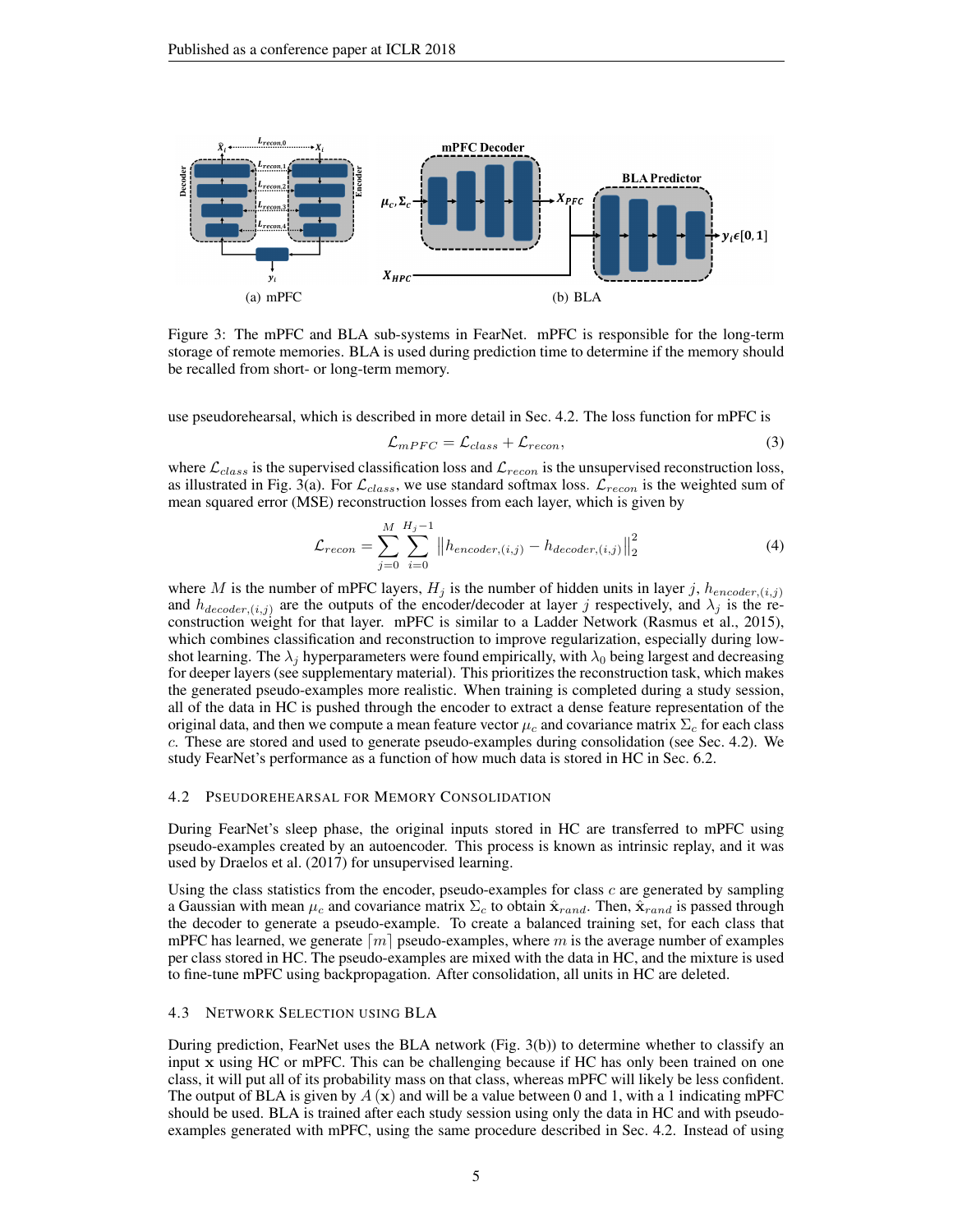<span id="page-4-1"></span>

Figure 3: The mPFC and BLA sub-systems in FearNet. mPFC is responsible for the long-term storage of remote memories. BLA is used during prediction time to determine if the memory should be recalled from short- or long-term memory.

use pseudorehearsal, which is described in more detail in Sec. [4.2.](#page-4-0) The loss function for mPFC is

<span id="page-4-2"></span>
$$
\mathcal{L}_{mPFC} = \mathcal{L}_{class} + \mathcal{L}_{recon},\tag{3}
$$

where  $\mathcal{L}_{class}$  is the supervised classification loss and  $\mathcal{L}_{recon}$  is the unsupervised reconstruction loss, as illustrated in Fig. [3\(a\).](#page-4-1) For  $\mathcal{L}_{class}$ , we use standard softmax loss.  $\mathcal{L}_{recon}$  is the weighted sum of mean squared error (MSE) reconstruction losses from each layer, which is given by

$$
\mathcal{L}_{recon} = \sum_{j=0}^{M} \sum_{i=0}^{H_j - 1} ||h_{encoder,(i,j)} - h_{decoder,(i,j)}||_2^2
$$
 (4)

where M is the number of mPFC layers,  $H_j$  is the number of hidden units in layer j,  $h_{encoder,(i,j)}$ and  $h_{decoder,(i,j)}$  are the outputs of the encoder/decoder at layer j respectively, and  $\lambda_j$  is the reconstruction weight for that layer. mPFC is similar to a Ladder Network [\(Rasmus et al., 2015\)](#page-11-5), which combines classification and reconstruction to improve regularization, especially during lowshot learning. The  $\lambda_i$  hyperparameters were found empirically, with  $\lambda_0$  being largest and decreasing for deeper layers (see supplementary material). This prioritizes the reconstruction task, which makes the generated pseudo-examples more realistic. When training is completed during a study session, all of the data in HC is pushed through the encoder to extract a dense feature representation of the original data, and then we compute a mean feature vector  $\mu_c$  and covariance matrix  $\Sigma_c$  for each class c. These are stored and used to generate pseudo-examples during consolidation (see Sec. [4.2\)](#page-4-0). We study FearNet's performance as a function of how much data is stored in HC in Sec. [6.2.](#page-7-0)

### <span id="page-4-0"></span>4.2 PSEUDOREHEARSAL FOR MEMORY CONSOLIDATION

During FearNet's sleep phase, the original inputs stored in HC are transferred to mPFC using pseudo-examples created by an autoencoder. This process is known as intrinsic replay, and it was used by [Draelos et al.](#page-9-1) [\(2017\)](#page-9-1) for unsupervised learning.

Using the class statistics from the encoder, pseudo-examples for class  $c$  are generated by sampling a Gaussian with mean  $\mu_c$  and covariance matrix  $\Sigma_c$  to obtain  $\hat{\mathbf{x}}_{rand}$ . Then,  $\hat{\mathbf{x}}_{rand}$  is passed through the decoder to generate a pseudo-example. To create a balanced training set, for each class that mPFC has learned, we generate  $\lfloor m \rfloor$  pseudo-examples, where m is the average number of examples per class stored in HC. The pseudo-examples are mixed with the data in HC, and the mixture is used to fine-tune mPFC using backpropagation. After consolidation, all units in HC are deleted.

#### 4.3 NETWORK SELECTION USING BLA

During prediction, FearNet uses the BLA network (Fig. [3\(b\)\)](#page-4-2) to determine whether to classify an input x using HC or mPFC. This can be challenging because if HC has only been trained on one class, it will put all of its probability mass on that class, whereas mPFC will likely be less confident. The output of BLA is given by  $A(x)$  and will be a value between 0 and 1, with a 1 indicating mPFC should be used. BLA is trained after each study session using only the data in HC and with pseudoexamples generated with mPFC, using the same procedure described in Sec. [4.2.](#page-4-0) Instead of using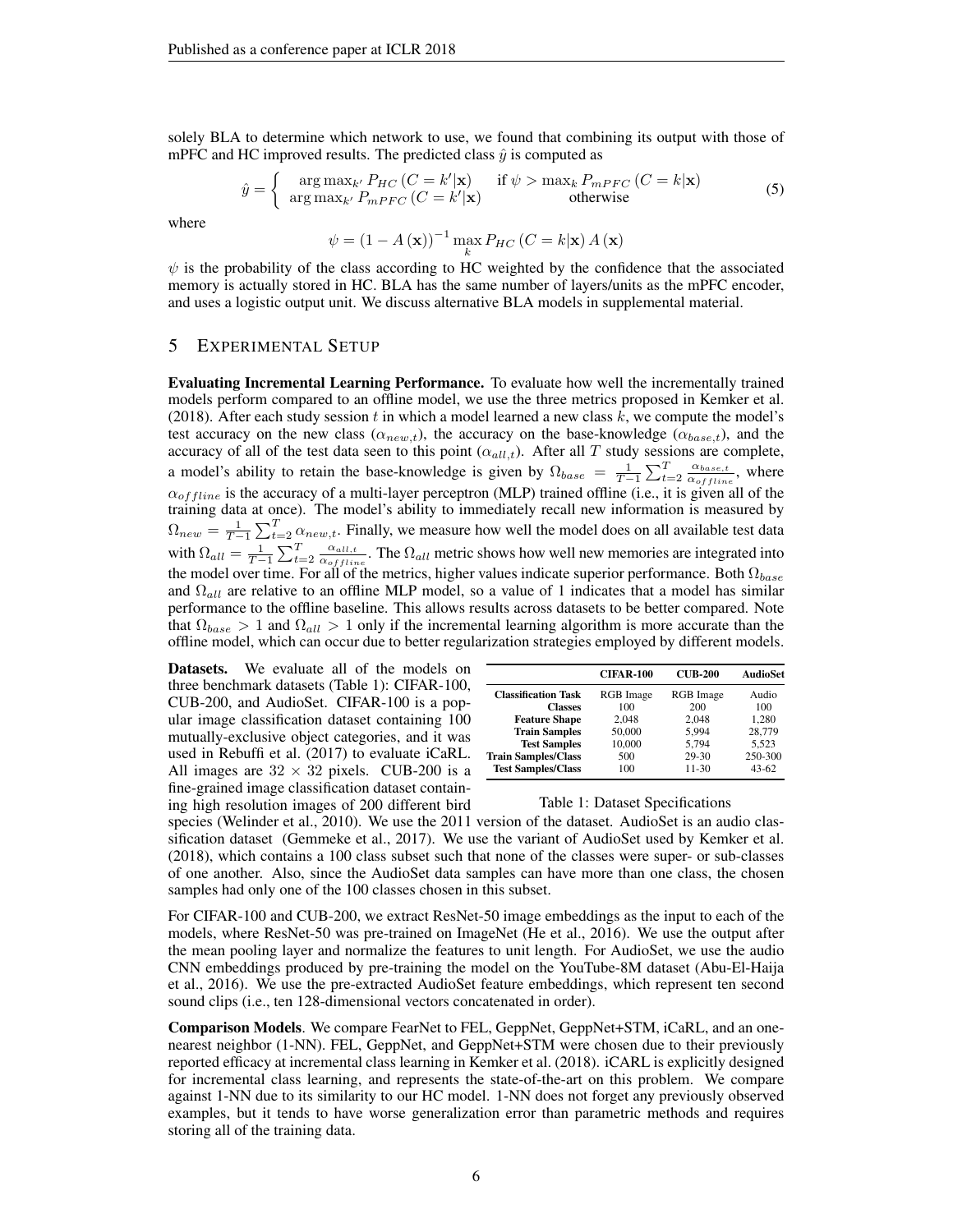solely BLA to determine which network to use, we found that combining its output with those of mPFC and HC improved results. The predicted class  $\hat{y}$  is computed as

$$
\hat{y} = \begin{cases}\n\arg \max_{k'} P_{HC} (C = k' | \mathbf{x}) & \text{if } \psi > \max_{k} P_{mPFC} (C = k | \mathbf{x}) \\
\arg \max_{k'} P_{mPFC} (C = k' | \mathbf{x}) & \text{otherwise}\n\end{cases}
$$
\n(5)

where

$$
\psi = \left(1 - A\left(\mathbf{x}\right)\right)^{-1} \max_{k} P_{HC} \left(C = k|\mathbf{x}\right) A\left(\mathbf{x}\right)
$$

 $\psi$  is the probability of the class according to HC weighted by the confidence that the associated memory is actually stored in HC. BLA has the same number of layers/units as the mPFC encoder, and uses a logistic output unit. We discuss alternative BLA models in supplemental material.

# 5 EXPERIMENTAL SETUP

Evaluating Incremental Learning Performance. To evaluate how well the incrementally trained models perform compared to an offline model, we use the three metrics proposed in [Kemker et al.](#page-10-2) [\(2018\)](#page-10-2). After each study session t in which a model learned a new class  $k$ , we compute the model's test accuracy on the new class  $(\alpha_{new,t})$ , the accuracy on the base-knowledge  $(\alpha_{base,t})$ , and the accuracy of all of the test data seen to this point  $(\alpha_{all,t})$ . After all T study sessions are complete, a model's ability to retain the base-knowledge is given by  $\Omega_{base} = \frac{1}{T-1} \sum_{t=2}^{T} \frac{\alpha_{base,t}}{\alpha_{offlin}}$  $\frac{\alpha_{base,t}}{\alpha_{offline}}$ , where  $\alpha_{offline}$  is the accuracy of a multi-layer perceptron (MLP) trained offline (i.e., it is given all of the training data at once). The model's ability to immediately recall new information is measured by  $\Omega_{new} = \frac{1}{T-1} \sum_{t=2}^{T} \alpha_{new,t}$ . Finally, we measure how well the model does on all available test data with  $\Omega_{all} = \frac{1}{T-1} \sum_{t=2}^{T} \frac{\alpha_{all,t}}{\alpha_{offlir}}$  $\frac{\alpha_{all,t}}{\alpha_{offline}}$ . The  $\Omega_{all}$  metric shows how well new memories are integrated into the model over time. For all of the metrics, higher values indicate superior performance. Both  $\Omega_{base}$ and  $\Omega_{all}$  are relative to an offline MLP model, so a value of 1 indicates that a model has similar performance to the offline baseline. This allows results across datasets to be better compared. Note that  $\Omega_{base} > 1$  and  $\Omega_{all} > 1$  only if the incremental learning algorithm is more accurate than the offline model, which can occur due to better regularization strategies employed by different models.

Datasets. We evaluate all of the models on three benchmark datasets (Table [1\)](#page-5-0): CIFAR-100, CUB-200, and AudioSet. CIFAR-100 is a popular image classification dataset containing 100 mutually-exclusive object categories, and it was used in [Rebuffi et al.](#page-11-1) [\(2017\)](#page-11-1) to evaluate iCaRL. All images are  $32 \times 32$  pixels. CUB-200 is a fine-grained image classification dataset containing high resolution images of 200 different bird

|                            | <b>CIFAR-100</b> | <b>CUB-200</b>   | <b>AudioSet</b> |
|----------------------------|------------------|------------------|-----------------|
| <b>Classification Task</b> | <b>RGB</b> Image | <b>RGB</b> Image | Audio           |
| <b>Classes</b>             | 100              | 200              | 100             |
| <b>Feature Shape</b>       | 2.048            | 2.048            | 1.280           |
| <b>Train Samples</b>       | 50,000           | 5.994            | 28,779          |
| <b>Test Samples</b>        | 10,000           | 5.794            | 5.523           |
| <b>Train Samples/Class</b> | 500              | 29-30            | 250-300         |
| <b>Test Samples/Class</b>  | 100              | $11 - 30$        | $43 - 62$       |

#### <span id="page-5-0"></span>Table 1: Dataset Specifications

species [\(Welinder et al., 2010\)](#page-11-6). We use the 2011 version of the dataset. AudioSet is an audio classification dataset [\(Gemmeke et al., 2017\)](#page-10-14). We use the variant of AudioSet used by [Kemker et al.](#page-10-2) [\(2018\)](#page-10-2), which contains a 100 class subset such that none of the classes were super- or sub-classes of one another. Also, since the AudioSet data samples can have more than one class, the chosen samples had only one of the 100 classes chosen in this subset.

For CIFAR-100 and CUB-200, we extract ResNet-50 image embeddings as the input to each of the models, where ResNet-50 was pre-trained on ImageNet [\(He et al., 2016\)](#page-10-15). We use the output after the mean pooling layer and normalize the features to unit length. For AudioSet, we use the audio CNN embeddings produced by pre-training the model on the YouTube-8M dataset [\(Abu-El-Haija](#page-9-11) [et al., 2016\)](#page-9-11). We use the pre-extracted AudioSet feature embeddings, which represent ten second sound clips (i.e., ten 128-dimensional vectors concatenated in order).

Comparison Models. We compare FearNet to FEL, GeppNet, GeppNet+STM, iCaRL, and an onenearest neighbor (1-NN). FEL, GeppNet, and GeppNet+STM were chosen due to their previously reported efficacy at incremental class learning in [Kemker et al.](#page-10-2) [\(2018\)](#page-10-2). iCARL is explicitly designed for incremental class learning, and represents the state-of-the-art on this problem. We compare against 1-NN due to its similarity to our HC model. 1-NN does not forget any previously observed examples, but it tends to have worse generalization error than parametric methods and requires storing all of the training data.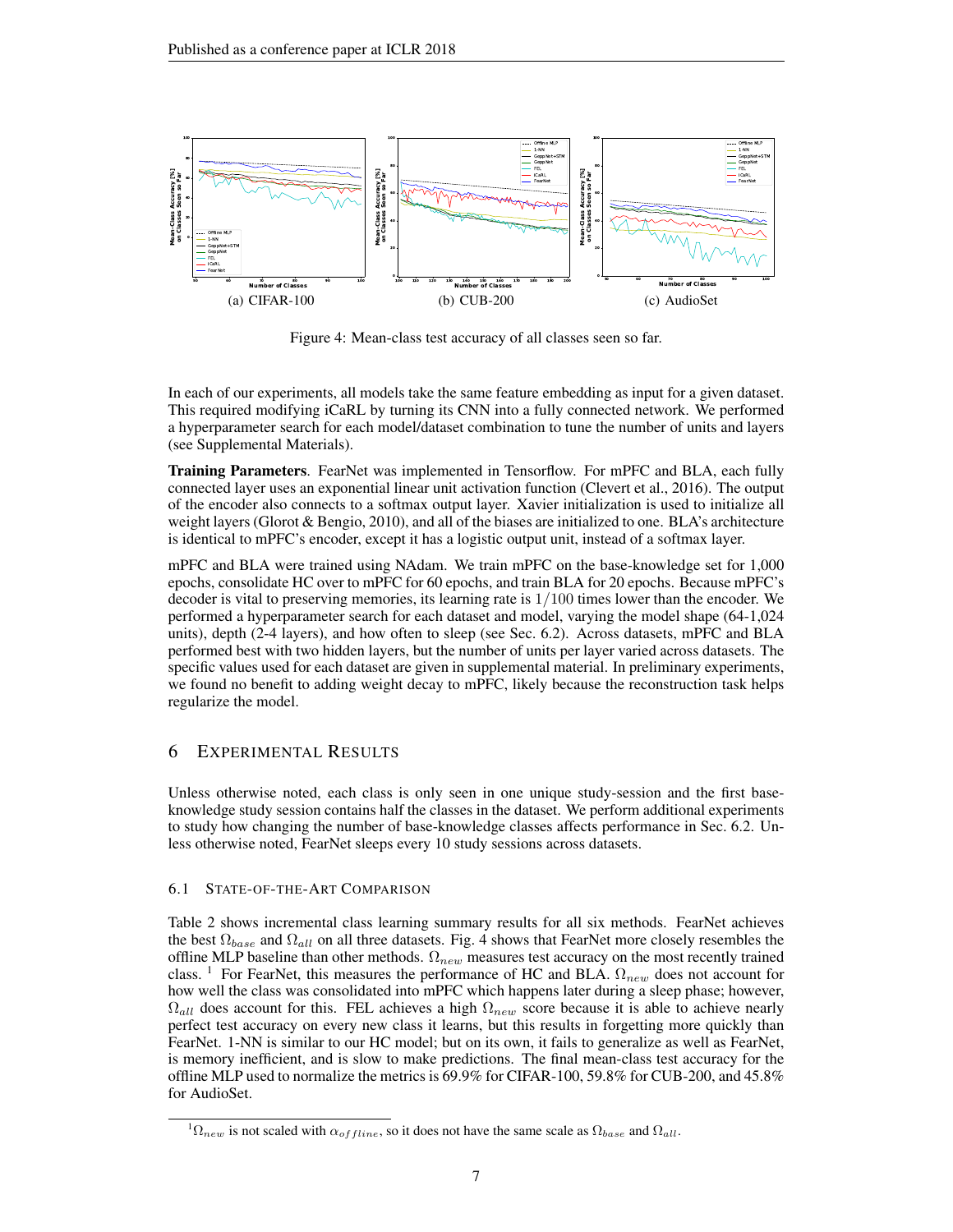

<span id="page-6-0"></span>Figure 4: Mean-class test accuracy of all classes seen so far.

In each of our experiments, all models take the same feature embedding as input for a given dataset. This required modifying iCaRL by turning its CNN into a fully connected network. We performed a hyperparameter search for each model/dataset combination to tune the number of units and layers (see Supplemental Materials).

Training Parameters. FearNet was implemented in Tensorflow. For mPFC and BLA, each fully connected layer uses an exponential linear unit activation function [\(Clevert et al., 2016\)](#page-9-12). The output of the encoder also connects to a softmax output layer. Xavier initialization is used to initialize all weight layers [\(Glorot & Bengio, 2010\)](#page-10-16), and all of the biases are initialized to one. BLA's architecture is identical to mPFC's encoder, except it has a logistic output unit, instead of a softmax layer.

mPFC and BLA were trained using NAdam. We train mPFC on the base-knowledge set for 1,000 epochs, consolidate HC over to mPFC for 60 epochs, and train BLA for 20 epochs. Because mPFC's decoder is vital to preserving memories, its learning rate is  $1/100$  times lower than the encoder. We performed a hyperparameter search for each dataset and model, varying the model shape (64-1,024 units), depth (2-4 layers), and how often to sleep (see Sec. [6.2\)](#page-7-0). Across datasets, mPFC and BLA performed best with two hidden layers, but the number of units per layer varied across datasets. The specific values used for each dataset are given in supplemental material. In preliminary experiments, we found no benefit to adding weight decay to mPFC, likely because the reconstruction task helps regularize the model.

# 6 EXPERIMENTAL RESULTS

Unless otherwise noted, each class is only seen in one unique study-session and the first baseknowledge study session contains half the classes in the dataset. We perform additional experiments to study how changing the number of base-knowledge classes affects performance in Sec. [6.2.](#page-7-0) Unless otherwise noted, FearNet sleeps every 10 study sessions across datasets.

## <span id="page-6-2"></span>6.1 STATE-OF-THE-ART COMPARISON

Table [2](#page-7-1) shows incremental class learning summary results for all six methods. FearNet achieves the best  $\Omega_{base}$  and  $\Omega_{all}$  on all three datasets. Fig. [4](#page-6-0) shows that FearNet more closely resembles the offline MLP baseline than other methods.  $\Omega_{new}$  measures test accuracy on the most recently trained class. <sup>[1](#page-6-1)</sup> For FearNet, this measures the performance of HC and BLA.  $\Omega_{new}$  does not account for how well the class was consolidated into mPFC which happens later during a sleep phase; however,  $\Omega_{all}$  does account for this. FEL achieves a high  $\Omega_{new}$  score because it is able to achieve nearly perfect test accuracy on every new class it learns, but this results in forgetting more quickly than FearNet. 1-NN is similar to our HC model; but on its own, it fails to generalize as well as FearNet, is memory inefficient, and is slow to make predictions. The final mean-class test accuracy for the offline MLP used to normalize the metrics is 69.9% for CIFAR-100, 59.8% for CUB-200, and 45.8% for AudioSet.

<span id="page-6-1"></span> ${}^{1}\Omega_{new}$  is not scaled with  $\alpha_{offline}$ , so it does not have the same scale as  $\Omega_{base}$  and  $\Omega_{all}$ .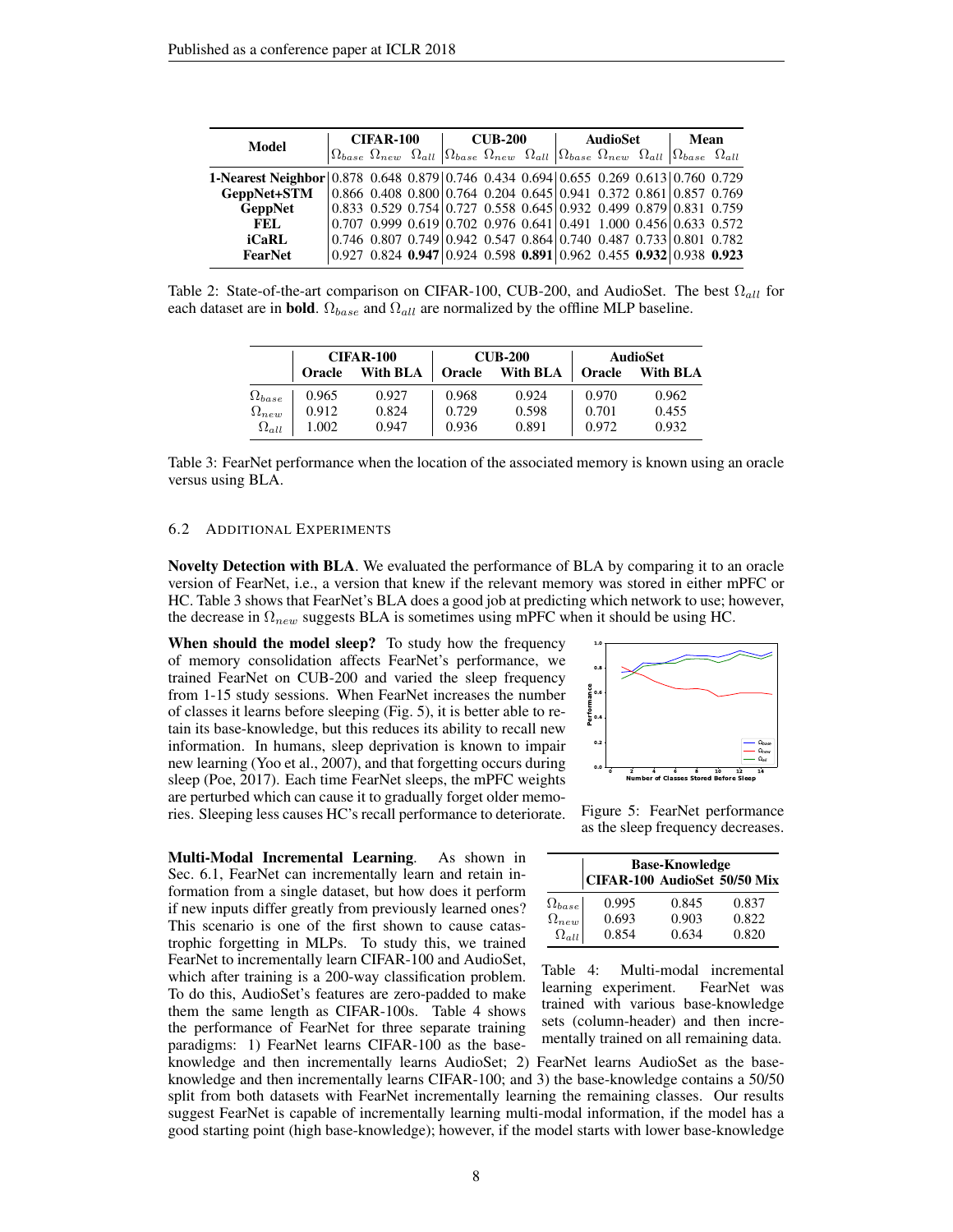| Model                                                                                | <b>CIFAR-100</b> |  |  | <b>CUB-200</b> |  |  | AudioSet |  |  | Mean                                                                                                                                                                                                                          |  |
|--------------------------------------------------------------------------------------|------------------|--|--|----------------|--|--|----------|--|--|-------------------------------------------------------------------------------------------------------------------------------------------------------------------------------------------------------------------------------|--|
|                                                                                      |                  |  |  |                |  |  |          |  |  | $\begin{array}{ l } \hline \Omega_{base} \;\; \Omega_{new} \;\; \Omega_{all} \;\;  \Omega_{base} \;\; \Omega_{new} \;\; \Omega_{all} \;\;  \Omega_{base} \;\; \Omega_{all} \;\;  \Omega_{base} \;\; \Omega_{all} \end{array}$ |  |
| 1-Nearest Neighbor 0.878 0.648 0.879 0.746 0.434 0.694 0.655 0.269 0.613 0.760 0.729 |                  |  |  |                |  |  |          |  |  |                                                                                                                                                                                                                               |  |
| GeppNet+STM                                                                          |                  |  |  |                |  |  |          |  |  | $\vert 0.866 \vert 0.408 \vert 0.800 \vert 0.764 \vert 0.204 \vert 0.645 \vert 0.941 \vert 0.372 \vert 0.861 \vert 0.857 \vert 0.769$                                                                                         |  |
| <b>GeppNet</b>                                                                       |                  |  |  |                |  |  |          |  |  | $0.833$ $0.529$ $0.754$ $0.727$ $0.558$ $0.645$ $0.932$ $0.499$ $0.879$ $0.831$ $0.759$                                                                                                                                       |  |
| FEL.                                                                                 |                  |  |  |                |  |  |          |  |  | $0.707$ 0.999 0.619 0.702 0.976 0.641 0.491 1.000 0.456 0.633 0.572                                                                                                                                                           |  |
| iCaRL                                                                                |                  |  |  |                |  |  |          |  |  | $0.746$ $0.807$ $0.749$ $0.942$ $0.547$ $0.864$ $0.740$ $0.487$ $0.733$ $0.801$ $0.782$                                                                                                                                       |  |
| FearNet                                                                              |                  |  |  |                |  |  |          |  |  | $0.927$ 0.824 0.947 0.924 0.598 0.891 0.962 0.455 0.932 0.938 0.923                                                                                                                                                           |  |

<span id="page-7-1"></span>Table 2: State-of-the-art comparison on CIFAR-100, CUB-200, and AudioSet. The best  $\Omega_{all}$  for each dataset are in **bold**.  $\Omega_{base}$  and  $\Omega_{all}$  are normalized by the offline MLP baseline.

|                 | <b>CIFAR-100</b> |          |        | <b>CUB-200</b> | AudioSet      |          |  |
|-----------------|------------------|----------|--------|----------------|---------------|----------|--|
|                 | <b>Oracle</b>    | With BLA | Oracle | With BLA       | <b>Oracle</b> | With BLA |  |
| $\Omega_{base}$ | 0.965            | 0.927    | 0.968  | 0.924          | 0.970         | 0.962    |  |
| $\Omega_{new}$  | 0.912            | 0.824    | 0.729  | 0.598          | 0.701         | 0.455    |  |
| $\Omega_{all}$  | 1.002            | 0.947    | 0.936  | 0.891          | 0.972         | 0.932    |  |

<span id="page-7-2"></span>Table 3: FearNet performance when the location of the associated memory is known using an oracle versus using BLA.

#### <span id="page-7-0"></span>6.2 ADDITIONAL EXPERIMENTS

Novelty Detection with BLA. We evaluated the performance of BLA by comparing it to an oracle version of FearNet, i.e., a version that knew if the relevant memory was stored in either mPFC or HC. Table [3](#page-7-2) shows that FearNet's BLA does a good job at predicting which network to use; however, the decrease in  $\Omega_{new}$  suggests BLA is sometimes using mPFC when it should be using HC.

When should the model sleep? To study how the frequency of memory consolidation affects FearNet's performance, we trained FearNet on CUB-200 and varied the sleep frequency from 1-15 study sessions. When FearNet increases the number of classes it learns before sleeping (Fig. [5\)](#page-7-3), it is better able to retain its base-knowledge, but this reduces its ability to recall new information. In humans, sleep deprivation is known to impair new learning [\(Yoo et al., 2007\)](#page-11-7), and that forgetting occurs during sleep [\(Poe, 2017\)](#page-10-13). Each time FearNet sleeps, the mPFC weights are perturbed which can cause it to gradually forget older memories. Sleeping less causes HC's recall performance to deteriorate.

Multi-Modal Incremental Learning. As shown in Sec. [6.1,](#page-6-2) FearNet can incrementally learn and retain information from a single dataset, but how does it perform if new inputs differ greatly from previously learned ones? This scenario is one of the first shown to cause catastrophic forgetting in MLPs. To study this, we trained FearNet to incrementally learn CIFAR-100 and AudioSet, which after training is a 200-way classification problem. To do this, AudioSet's features are zero-padded to make them the same length as CIFAR-100s. Table [4](#page-7-4) shows the performance of FearNet for three separate training paradigms: 1) FearNet learns CIFAR-100 as the base-



<span id="page-7-3"></span>Figure 5: FearNet performance as the sleep frequency decreases.

|                                | <b>Base-Knowledge</b>        |       |       |  |  |  |  |  |  |  |
|--------------------------------|------------------------------|-------|-------|--|--|--|--|--|--|--|
|                                | CIFAR-100 AudioSet 50/50 Mix |       |       |  |  |  |  |  |  |  |
|                                | 0.995                        | 0.845 | 0.837 |  |  |  |  |  |  |  |
| $\Omega_{base} \ \Omega_{new}$ | 0.693                        | 0.903 | 0.822 |  |  |  |  |  |  |  |
| $\Omega_{all}$                 | 0.854                        | 0.634 | 0.820 |  |  |  |  |  |  |  |

<span id="page-7-4"></span>Table 4: Multi-modal incremental learning experiment. FearNet was trained with various base-knowledge sets (column-header) and then incrementally trained on all remaining data.

knowledge and then incrementally learns AudioSet; 2) FearNet learns AudioSet as the baseknowledge and then incrementally learns CIFAR-100; and 3) the base-knowledge contains a 50/50 split from both datasets with FearNet incrementally learning the remaining classes. Our results suggest FearNet is capable of incrementally learning multi-modal information, if the model has a good starting point (high base-knowledge); however, if the model starts with lower base-knowledge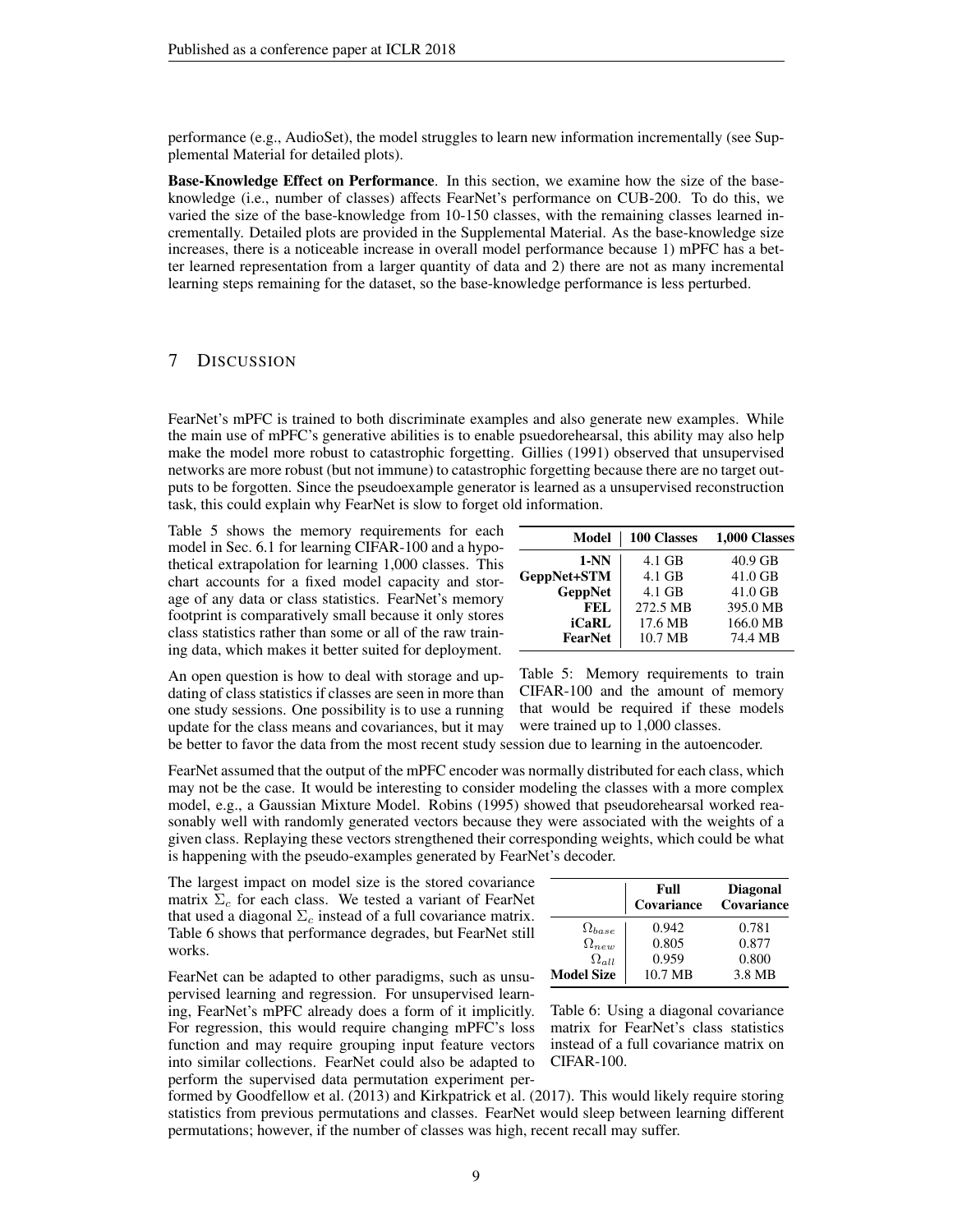performance (e.g., AudioSet), the model struggles to learn new information incrementally (see Supplemental Material for detailed plots).

Base-Knowledge Effect on Performance. In this section, we examine how the size of the baseknowledge (i.e., number of classes) affects FearNet's performance on CUB-200. To do this, we varied the size of the base-knowledge from 10-150 classes, with the remaining classes learned incrementally. Detailed plots are provided in the Supplemental Material. As the base-knowledge size increases, there is a noticeable increase in overall model performance because 1) mPFC has a better learned representation from a larger quantity of data and 2) there are not as many incremental learning steps remaining for the dataset, so the base-knowledge performance is less perturbed.

# 7 DISCUSSION

FearNet's mPFC is trained to both discriminate examples and also generate new examples. While the main use of mPFC's generative abilities is to enable psuedorehearsal, this ability may also help make the model more robust to catastrophic forgetting. [Gillies](#page-10-17) [\(1991\)](#page-10-17) observed that unsupervised networks are more robust (but not immune) to catastrophic forgetting because there are no target outputs to be forgotten. Since the pseudoexample generator is learned as a unsupervised reconstruction task, this could explain why FearNet is slow to forget old information.

Table [5](#page-8-0) shows the memory requirements for each model in Sec. [6.1](#page-6-2) for learning CIFAR-100 and a hypothetical extrapolation for learning 1,000 classes. This chart accounts for a fixed model capacity and storage of any data or class statistics. FearNet's memory footprint is comparatively small because it only stores class statistics rather than some or all of the raw training data, which makes it better suited for deployment.

| Model          | 100 Classes | 1,000 Classes |
|----------------|-------------|---------------|
| $1-NN$         | 4.1 GB      | $40.9$ GB     |
| GeppNet+STM    | 4.1 GB      | 41.0 GB       |
| <b>GeppNet</b> | 4.1 GB      | 41.0 GB       |
| FEL.           | 272.5 MB    | 395.0 MB      |
| iCaRL          | 17.6 MB     | 166.0 MB      |
| FearNet        | 10.7 MB     | 74.4 MB       |

An open question is how to deal with storage and updating of class statistics if classes are seen in more than one study sessions. One possibility is to use a running update for the class means and covariances, but it may <span id="page-8-0"></span>Table 5: Memory requirements to train CIFAR-100 and the amount of memory that would be required if these models were trained up to 1,000 classes.

be better to favor the data from the most recent study session due to learning in the autoencoder.

FearNet assumed that the output of the mPFC encoder was normally distributed for each class, which may not be the case. It would be interesting to consider modeling the classes with a more complex model, e.g., a Gaussian Mixture Model. [Robins](#page-11-0) [\(1995\)](#page-11-0) showed that pseudorehearsal worked reasonably well with randomly generated vectors because they were associated with the weights of a given class. Replaying these vectors strengthened their corresponding weights, which could be what is happening with the pseudo-examples generated by FearNet's decoder.

The largest impact on model size is the stored covariance matrix  $\Sigma_c$  for each class. We tested a variant of FearNet that used a diagonal  $\Sigma_c$  instead of a full covariance matrix. Table [6](#page-8-1) shows that performance degrades, but FearNet still works.

FearNet can be adapted to other paradigms, such as unsupervised learning and regression. For unsupervised learning, FearNet's mPFC already does a form of it implicitly. For regression, this would require changing mPFC's loss function and may require grouping input feature vectors into similar collections. FearNet could also be adapted to perform the supervised data permutation experiment per-

|                   | Full<br>Covariance | <b>Diagonal</b><br>Covariance |
|-------------------|--------------------|-------------------------------|
| $\Omega_{base}$   | 0.942              | 0.781                         |
| $\Omega_{new}$    | 0.805              | 0.877                         |
| $\Omega_{all}$    | 0.959              | 0.800                         |
| <b>Model Size</b> | 10.7 MB            | 3.8 MB                        |

<span id="page-8-1"></span>Table 6: Using a diagonal covariance matrix for FearNet's class statistics instead of a full covariance matrix on CIFAR-100.

formed by [Goodfellow et al.](#page-10-6) [\(2013\)](#page-10-6) and [Kirkpatrick et al.](#page-10-7) [\(2017\)](#page-10-7). This would likely require storing statistics from previous permutations and classes. FearNet would sleep between learning different permutations; however, if the number of classes was high, recent recall may suffer.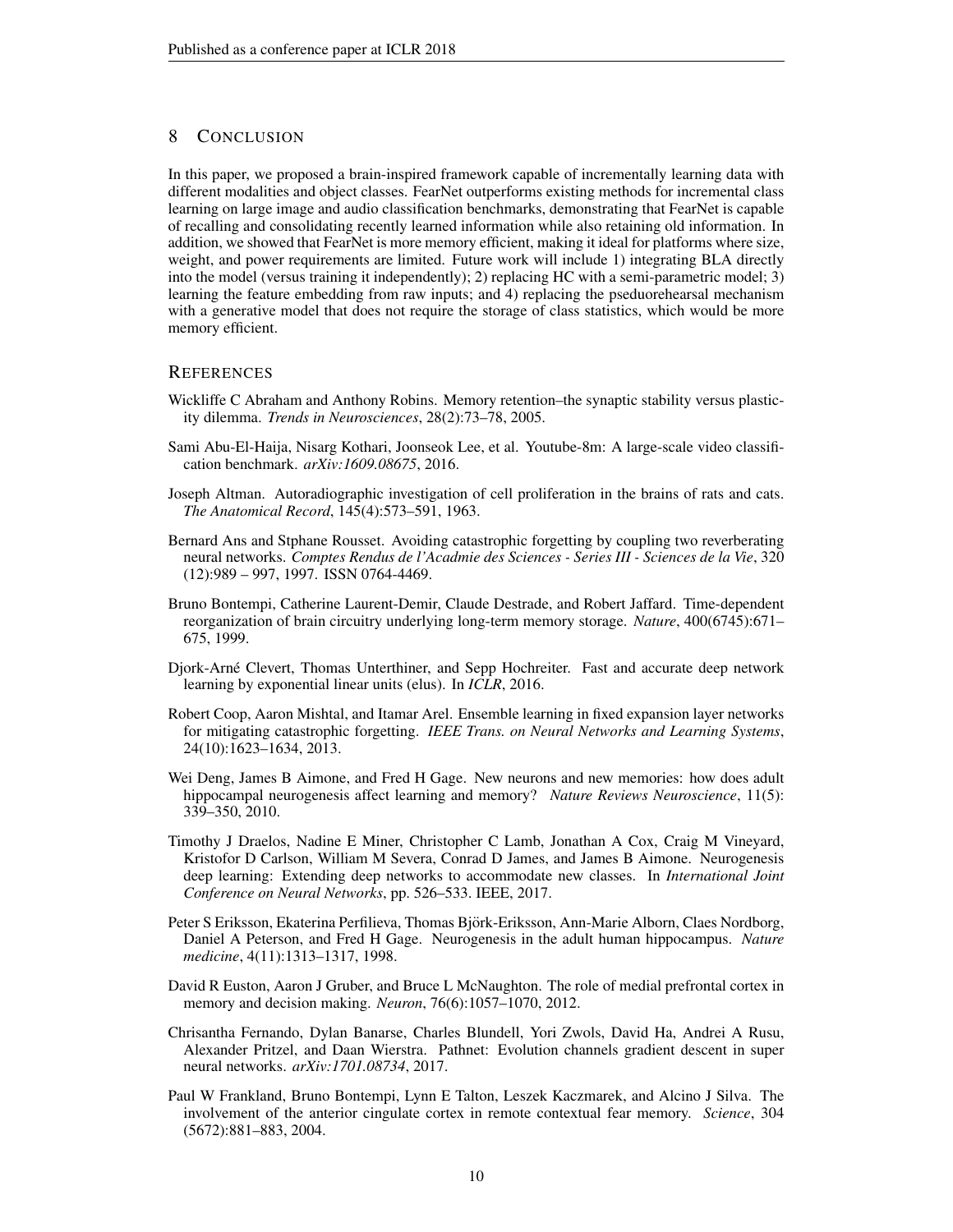# 8 CONCLUSION

In this paper, we proposed a brain-inspired framework capable of incrementally learning data with different modalities and object classes. FearNet outperforms existing methods for incremental class learning on large image and audio classification benchmarks, demonstrating that FearNet is capable of recalling and consolidating recently learned information while also retaining old information. In addition, we showed that FearNet is more memory efficient, making it ideal for platforms where size, weight, and power requirements are limited. Future work will include 1) integrating BLA directly into the model (versus training it independently); 2) replacing HC with a semi-parametric model; 3) learning the feature embedding from raw inputs; and 4) replacing the pseduorehearsal mechanism with a generative model that does not require the storage of class statistics, which would be more memory efficient.

## **REFERENCES**

- <span id="page-9-0"></span>Wickliffe C Abraham and Anthony Robins. Memory retention–the synaptic stability versus plasticity dilemma. *Trends in Neurosciences*, 28(2):73–78, 2005.
- <span id="page-9-11"></span>Sami Abu-El-Haija, Nisarg Kothari, Joonseok Lee, et al. Youtube-8m: A large-scale video classification benchmark. *arXiv:1609.08675*, 2016.
- <span id="page-9-7"></span>Joseph Altman. Autoradiographic investigation of cell proliferation in the brains of rats and cats. *The Anatomical Record*, 145(4):573–591, 1963.
- <span id="page-9-6"></span>Bernard Ans and Stphane Rousset. Avoiding catastrophic forgetting by coupling two reverberating neural networks. *Comptes Rendus de l'Acadmie des Sciences - Series III - Sciences de la Vie*, 320 (12):989 – 997, 1997. ISSN 0764-4469.
- <span id="page-9-5"></span>Bruno Bontempi, Catherine Laurent-Demir, Claude Destrade, and Robert Jaffard. Time-dependent reorganization of brain circuitry underlying long-term memory storage. *Nature*, 400(6745):671– 675, 1999.
- <span id="page-9-12"></span>Djork-Arne Clevert, Thomas Unterthiner, and Sepp Hochreiter. Fast and accurate deep network ´ learning by exponential linear units (elus). In *ICLR*, 2016.
- <span id="page-9-3"></span>Robert Coop, Aaron Mishtal, and Itamar Arel. Ensemble learning in fixed expansion layer networks for mitigating catastrophic forgetting. *IEEE Trans. on Neural Networks and Learning Systems*, 24(10):1623–1634, 2013.
- <span id="page-9-9"></span>Wei Deng, James B Aimone, and Fred H Gage. New neurons and new memories: how does adult hippocampal neurogenesis affect learning and memory? *Nature Reviews Neuroscience*, 11(5): 339–350, 2010.
- <span id="page-9-1"></span>Timothy J Draelos, Nadine E Miner, Christopher C Lamb, Jonathan A Cox, Craig M Vineyard, Kristofor D Carlson, William M Severa, Conrad D James, and James B Aimone. Neurogenesis deep learning: Extending deep networks to accommodate new classes. In *International Joint Conference on Neural Networks*, pp. 526–533. IEEE, 2017.
- <span id="page-9-8"></span>Peter S Eriksson, Ekaterina Perfilieva, Thomas Bjork-Eriksson, Ann-Marie Alborn, Claes Nordborg, ¨ Daniel A Peterson, and Fred H Gage. Neurogenesis in the adult human hippocampus. *Nature medicine*, 4(11):1313–1317, 1998.
- <span id="page-9-10"></span>David R Euston, Aaron J Gruber, and Bruce L McNaughton. The role of medial prefrontal cortex in memory and decision making. *Neuron*, 76(6):1057–1070, 2012.
- <span id="page-9-2"></span>Chrisantha Fernando, Dylan Banarse, Charles Blundell, Yori Zwols, David Ha, Andrei A Rusu, Alexander Pritzel, and Daan Wierstra. Pathnet: Evolution channels gradient descent in super neural networks. *arXiv:1701.08734*, 2017.
- <span id="page-9-4"></span>Paul W Frankland, Bruno Bontempi, Lynn E Talton, Leszek Kaczmarek, and Alcino J Silva. The involvement of the anterior cingulate cortex in remote contextual fear memory. *Science*, 304 (5672):881–883, 2004.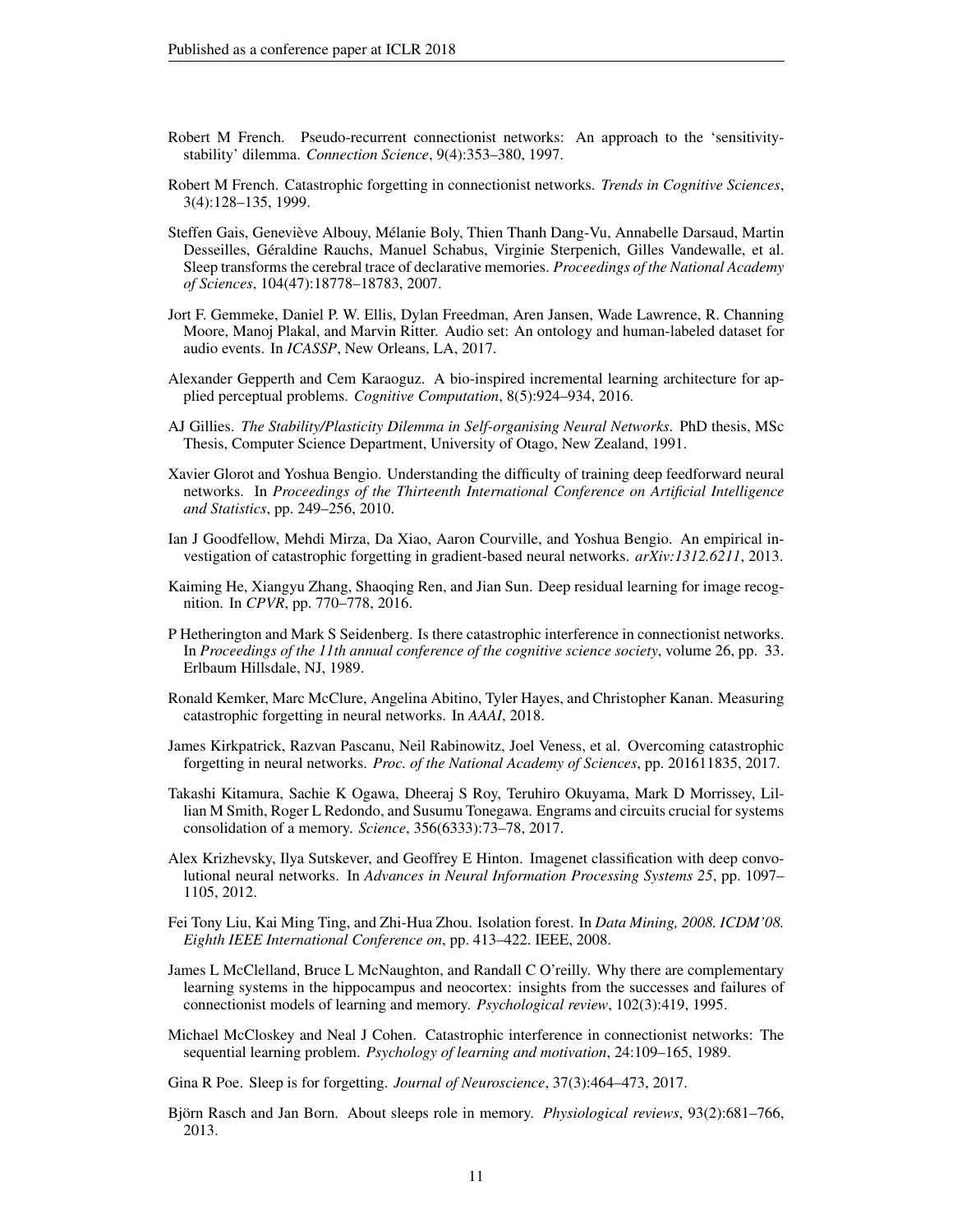- <span id="page-10-12"></span>Robert M French. Pseudo-recurrent connectionist networks: An approach to the 'sensitivitystability' dilemma. *Connection Science*, 9(4):353–380, 1997.
- <span id="page-10-3"></span>Robert M French. Catastrophic forgetting in connectionist networks. *Trends in Cognitive Sciences*, 3(4):128–135, 1999.
- <span id="page-10-11"></span>Steffen Gais, Geneviève Albouy, Mélanie Boly, Thien Thanh Dang-Vu, Annabelle Darsaud, Martin Desseilles, Géraldine Rauchs, Manuel Schabus, Virginie Sterpenich, Gilles Vandewalle, et al. Sleep transforms the cerebral trace of declarative memories. *Proceedings of the National Academy of Sciences*, 104(47):18778–18783, 2007.
- <span id="page-10-14"></span>Jort F. Gemmeke, Daniel P. W. Ellis, Dylan Freedman, Aren Jansen, Wade Lawrence, R. Channing Moore, Manoj Plakal, and Marvin Ritter. Audio set: An ontology and human-labeled dataset for audio events. In *ICASSP*, New Orleans, LA, 2017.
- <span id="page-10-8"></span>Alexander Gepperth and Cem Karaoguz. A bio-inspired incremental learning architecture for applied perceptual problems. *Cognitive Computation*, 8(5):924–934, 2016.
- <span id="page-10-17"></span>AJ Gillies. *The Stability/Plasticity Dilemma in Self-organising Neural Networks*. PhD thesis, MSc Thesis, Computer Science Department, University of Otago, New Zealand, 1991.
- <span id="page-10-16"></span>Xavier Glorot and Yoshua Bengio. Understanding the difficulty of training deep feedforward neural networks. In *Proceedings of the Thirteenth International Conference on Artificial Intelligence and Statistics*, pp. 249–256, 2010.
- <span id="page-10-6"></span>Ian J Goodfellow, Mehdi Mirza, Da Xiao, Aaron Courville, and Yoshua Bengio. An empirical investigation of catastrophic forgetting in gradient-based neural networks. *arXiv:1312.6211*, 2013.
- <span id="page-10-15"></span>Kaiming He, Xiangyu Zhang, Shaoqing Ren, and Jian Sun. Deep residual learning for image recognition. In *CPVR*, pp. 770–778, 2016.
- <span id="page-10-4"></span>P Hetherington and Mark S Seidenberg. Is there catastrophic interference in connectionist networks. In *Proceedings of the 11th annual conference of the cognitive science society*, volume 26, pp. 33. Erlbaum Hillsdale, NJ, 1989.
- <span id="page-10-2"></span>Ronald Kemker, Marc McClure, Angelina Abitino, Tyler Hayes, and Christopher Kanan. Measuring catastrophic forgetting in neural networks. In *AAAI*, 2018.
- <span id="page-10-7"></span>James Kirkpatrick, Razvan Pascanu, Neil Rabinowitz, Joel Veness, et al. Overcoming catastrophic forgetting in neural networks. *Proc. of the National Academy of Sciences*, pp. 201611835, 2017.
- <span id="page-10-10"></span>Takashi Kitamura, Sachie K Ogawa, Dheeraj S Roy, Teruhiro Okuyama, Mark D Morrissey, Lillian M Smith, Roger L Redondo, and Susumu Tonegawa. Engrams and circuits crucial for systems consolidation of a memory. *Science*, 356(6333):73–78, 2017.
- <span id="page-10-0"></span>Alex Krizhevsky, Ilya Sutskever, and Geoffrey E Hinton. Imagenet classification with deep convolutional neural networks. In *Advances in Neural Information Processing Systems 25*, pp. 1097– 1105, 2012.
- <span id="page-10-18"></span>Fei Tony Liu, Kai Ming Ting, and Zhi-Hua Zhou. Isolation forest. In *Data Mining, 2008. ICDM'08. Eighth IEEE International Conference on*, pp. 413–422. IEEE, 2008.
- <span id="page-10-9"></span>James L McClelland, Bruce L McNaughton, and Randall C O'reilly. Why there are complementary learning systems in the hippocampus and neocortex: insights from the successes and failures of connectionist models of learning and memory. *Psychological review*, 102(3):419, 1995.
- <span id="page-10-1"></span>Michael McCloskey and Neal J Cohen. Catastrophic interference in connectionist networks: The sequential learning problem. *Psychology of learning and motivation*, 24:109–165, 1989.
- <span id="page-10-13"></span>Gina R Poe. Sleep is for forgetting. *Journal of Neuroscience*, 37(3):464–473, 2017.
- <span id="page-10-5"></span>Björn Rasch and Jan Born. About sleeps role in memory. *Physiological reviews*, 93(2):681–766, 2013.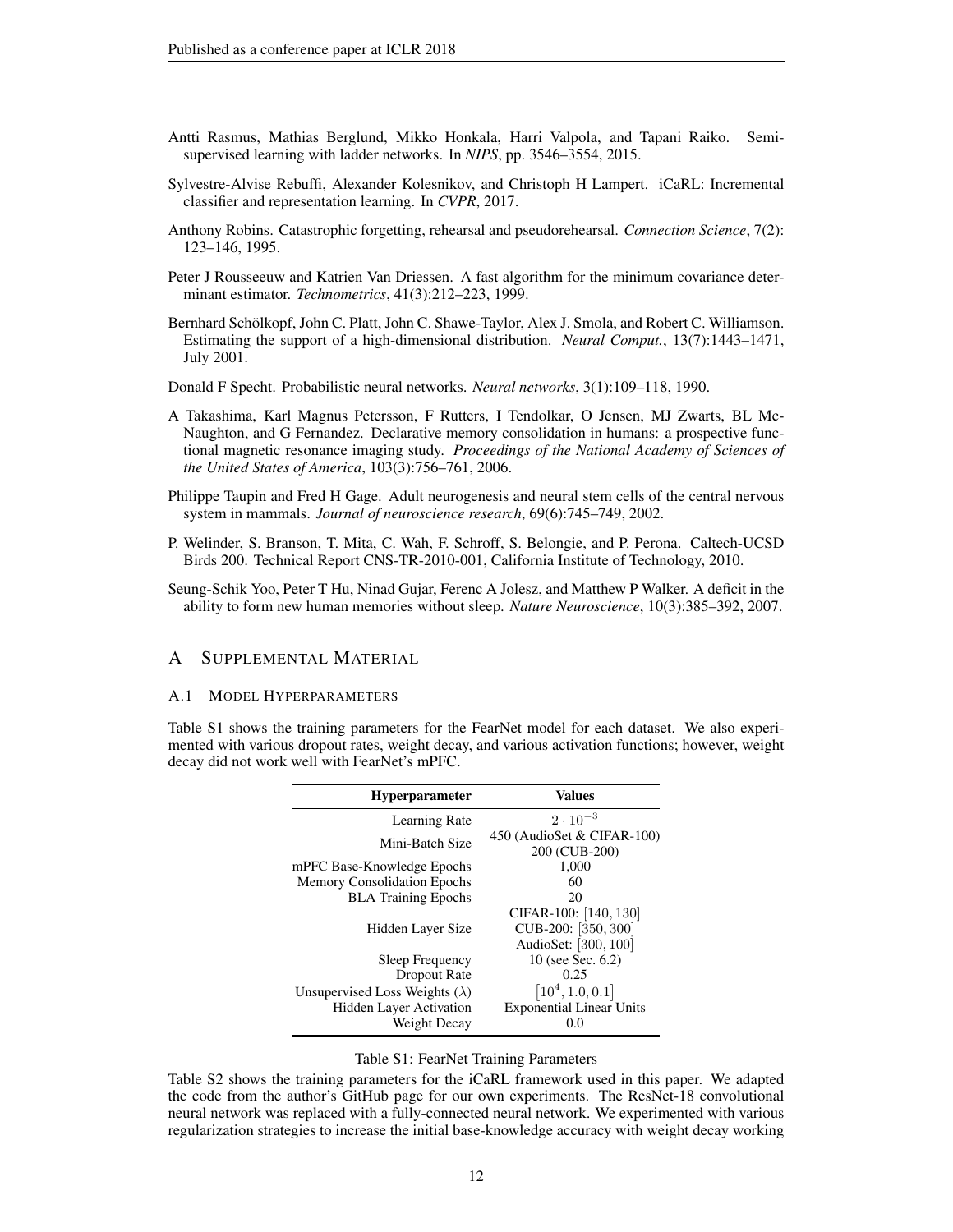- <span id="page-11-5"></span>Antti Rasmus, Mathias Berglund, Mikko Honkala, Harri Valpola, and Tapani Raiko. Semisupervised learning with ladder networks. In *NIPS*, pp. 3546–3554, 2015.
- <span id="page-11-1"></span>Sylvestre-Alvise Rebuffi, Alexander Kolesnikov, and Christoph H Lampert. iCaRL: Incremental classifier and representation learning. In *CVPR*, 2017.
- <span id="page-11-0"></span>Anthony Robins. Catastrophic forgetting, rehearsal and pseudorehearsal. *Connection Science*, 7(2): 123–146, 1995.
- <span id="page-11-10"></span>Peter J Rousseeuw and Katrien Van Driessen. A fast algorithm for the minimum covariance determinant estimator. *Technometrics*, 41(3):212–223, 1999.
- <span id="page-11-9"></span>Bernhard Schölkopf, John C. Platt, John C. Shawe-Taylor, Alex J. Smola, and Robert C. Williamson. Estimating the support of a high-dimensional distribution. *Neural Comput.*, 13(7):1443–1471, July 2001.
- <span id="page-11-4"></span>Donald F Specht. Probabilistic neural networks. *Neural networks*, 3(1):109–118, 1990.
- <span id="page-11-2"></span>A Takashima, Karl Magnus Petersson, F Rutters, I Tendolkar, O Jensen, MJ Zwarts, BL Mc-Naughton, and G Fernandez. Declarative memory consolidation in humans: a prospective functional magnetic resonance imaging study. *Proceedings of the National Academy of Sciences of the United States of America*, 103(3):756–761, 2006.
- <span id="page-11-3"></span>Philippe Taupin and Fred H Gage. Adult neurogenesis and neural stem cells of the central nervous system in mammals. *Journal of neuroscience research*, 69(6):745–749, 2002.
- <span id="page-11-6"></span>P. Welinder, S. Branson, T. Mita, C. Wah, F. Schroff, S. Belongie, and P. Perona. Caltech-UCSD Birds 200. Technical Report CNS-TR-2010-001, California Institute of Technology, 2010.
- <span id="page-11-7"></span>Seung-Schik Yoo, Peter T Hu, Ninad Gujar, Ferenc A Jolesz, and Matthew P Walker. A deficit in the ability to form new human memories without sleep. *Nature Neuroscience*, 10(3):385–392, 2007.

# A SUPPLEMENTAL MATERIAL

#### A.1 MODEL HYPERPARAMETERS

Table [S1](#page-11-8) shows the training parameters for the FearNet model for each dataset. We also experimented with various dropout rates, weight decay, and various activation functions; however, weight decay did not work well with FearNet's mPFC.

| <b>Hyperparameter</b>                   | <b>Values</b>                                                          |
|-----------------------------------------|------------------------------------------------------------------------|
| Learning Rate                           | $2 \cdot 10^{-3}$                                                      |
| Mini-Batch Size                         | 450 (AudioSet & CIFAR-100)<br>200 (CUB-200)                            |
| mPFC Base-Knowledge Epochs              | 1,000                                                                  |
| <b>Memory Consolidation Epochs</b>      | 60                                                                     |
| <b>BLA</b> Training Epochs              | 20                                                                     |
| Hidden Layer Size                       | CIFAR-100: [140, 130]<br>CUB-200: $[350, 300]$<br>AudioSet: [300, 100] |
| Sleep Frequency                         | 10 (see Sec. 6.2)                                                      |
| Dropout Rate                            | 0.25                                                                   |
| Unsupervised Loss Weights ( $\lambda$ ) | $[10^4, 1.0, 0.1]$                                                     |
| <b>Hidden Layer Activation</b>          | <b>Exponential Linear Units</b>                                        |
| Weight Decay                            | 0.0                                                                    |

## <span id="page-11-8"></span>Table S1: FearNet Training Parameters

Table [S2](#page-12-0) shows the training parameters for the iCaRL framework used in this paper. We adapted the code from the author's GitHub page for our own experiments. The ResNet-18 convolutional neural network was replaced with a fully-connected neural network. We experimented with various regularization strategies to increase the initial base-knowledge accuracy with weight decay working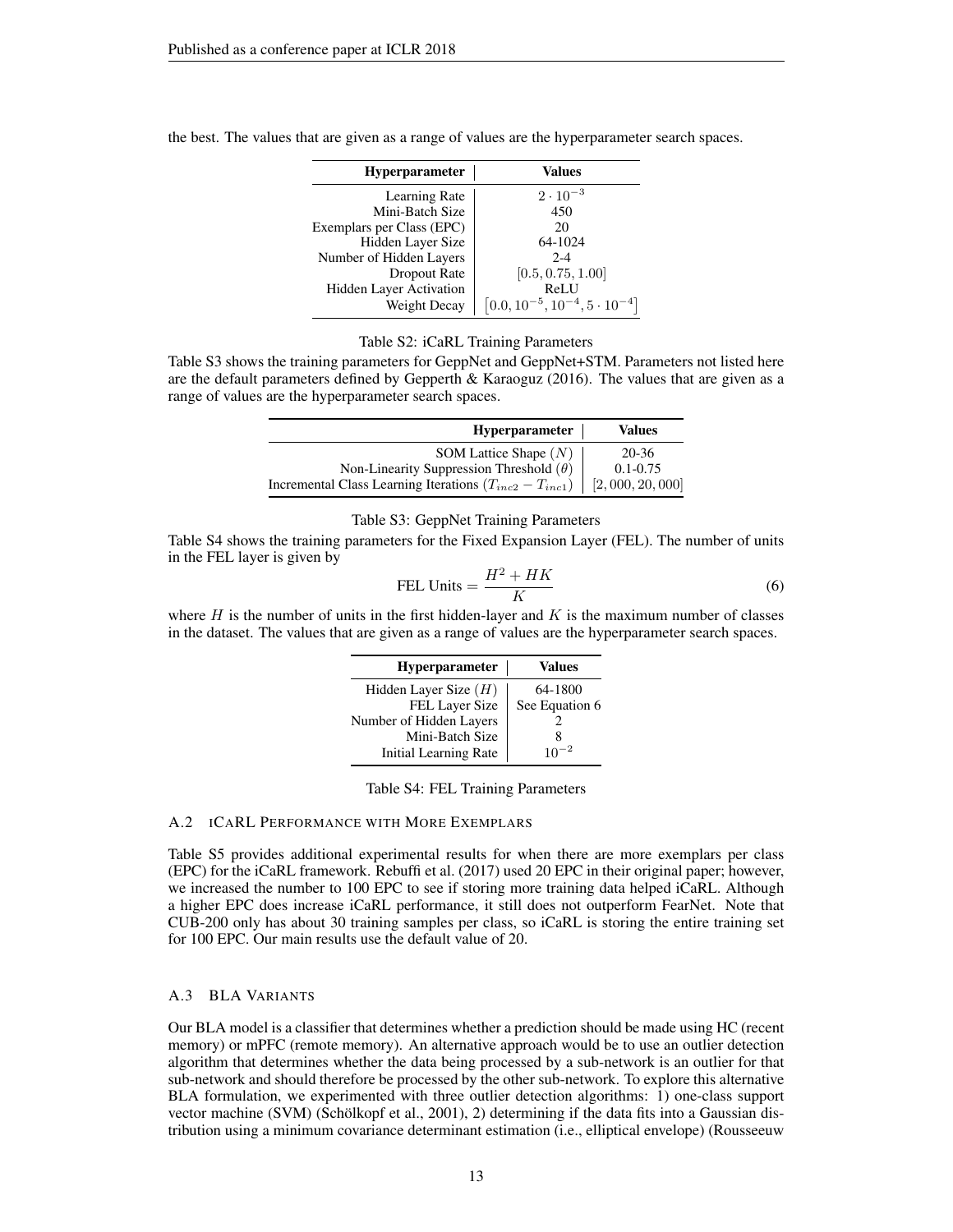| <b>Hyperparameter</b>     | Values                                     |
|---------------------------|--------------------------------------------|
| Learning Rate             | $2 \cdot 10^{-3}$                          |
| Mini-Batch Size           | 450                                        |
| Exemplars per Class (EPC) | 20                                         |
| Hidden Layer Size         | 64-1024                                    |
| Number of Hidden Layers   | $2 - 4$                                    |
| Dropout Rate              | [0.5, 0.75, 1.00]                          |
| Hidden Layer Activation   | ReLU                                       |
| Weight Decay              | $[0.0, 10^{-5}, 10^{-4}, 5 \cdot 10^{-4}]$ |

the best. The values that are given as a range of values are the hyperparameter search spaces.

# <span id="page-12-0"></span>Table S2: iCaRL Training Parameters

Table [S3](#page-12-1) shows the training parameters for GeppNet and GeppNet+STM. Parameters not listed here are the default parameters defined by [Gepperth & Karaoguz](#page-10-8) [\(2016\)](#page-10-8). The values that are given as a range of values are the hyperparameter search spaces.

| <b>Hyperparameter</b>                                         | <b>Values</b>  |
|---------------------------------------------------------------|----------------|
| SOM Lattice Shape $(N)$                                       | 20-36          |
| Non-Linearity Suppression Threshold $(\theta)$                | $0.1 - 0.75$   |
| Incremental Class Learning Iterations $(T_{inc2} - T_{inc1})$ | [2,000,20,000] |

#### <span id="page-12-3"></span>Table S3: GeppNet Training Parameters

Table [S4](#page-12-2) shows the training parameters for the Fixed Expansion Layer (FEL). The number of units in the FEL layer is given by

<span id="page-12-1"></span>FEL Units = 
$$
\frac{H^2 + HK}{K}
$$
 (6)

where  $H$  is the number of units in the first hidden-layer and  $K$  is the maximum number of classes in the dataset. The values that are given as a range of values are the hyperparameter search spaces.

| <b>Hyperparameter</b>   | <b>Values</b>  |
|-------------------------|----------------|
| Hidden Layer Size $(H)$ | 64-1800        |
| <b>FEL Layer Size</b>   | See Equation 6 |
| Number of Hidden Layers |                |
| Mini-Batch Size         | x              |
| Initial Learning Rate   | $10^{-2}$      |

<span id="page-12-2"></span>

## A.2 ICARL PERFORMANCE WITH MORE EXEMPLARS

Table [S5](#page-13-0) provides additional experimental results for when there are more exemplars per class (EPC) for the iCaRL framework. [Rebuffi et al.](#page-11-1) [\(2017\)](#page-11-1) used 20 EPC in their original paper; however, we increased the number to 100 EPC to see if storing more training data helped iCaRL. Although a higher EPC does increase iCaRL performance, it still does not outperform FearNet. Note that CUB-200 only has about 30 training samples per class, so iCaRL is storing the entire training set for 100 EPC. Our main results use the default value of 20.

# A.3 BLA VARIANTS

Our BLA model is a classifier that determines whether a prediction should be made using HC (recent memory) or mPFC (remote memory). An alternative approach would be to use an outlier detection algorithm that determines whether the data being processed by a sub-network is an outlier for that sub-network and should therefore be processed by the other sub-network. To explore this alternative BLA formulation, we experimented with three outlier detection algorithms: 1) one-class support vector machine (SVM) (Schölkopf et al., 2001), 2) determining if the data fits into a Gaussian distribution using a minimum covariance determinant estimation (i.e., elliptical envelope) [\(Rousseeuw](#page-11-10)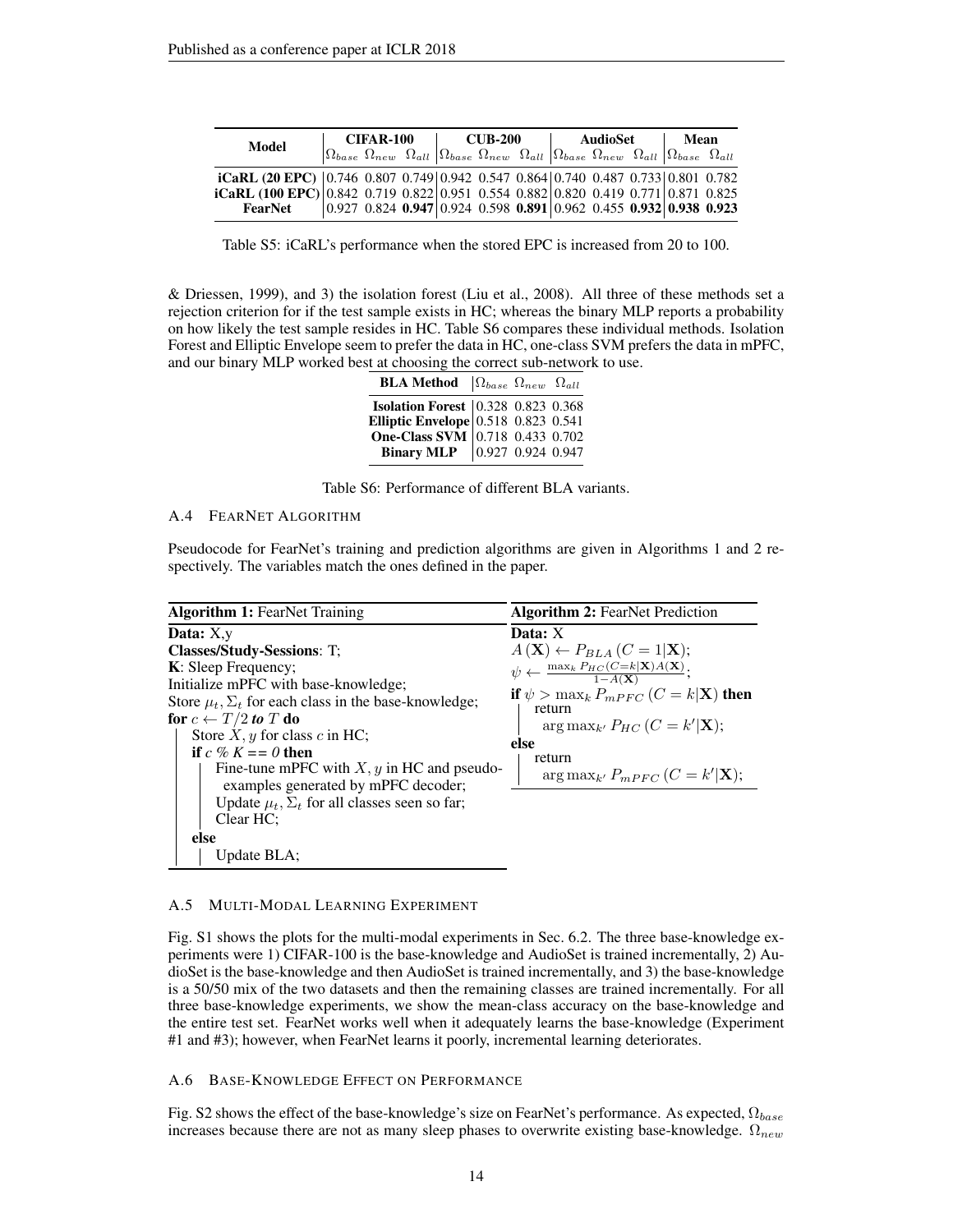| Model                                                                                    | CIFAR-100 |  | <b>CUB-200</b> |                                                                                                                                                                                                                                     |  | AudioSet |  |  | Mean |  |  |
|------------------------------------------------------------------------------------------|-----------|--|----------------|-------------------------------------------------------------------------------------------------------------------------------------------------------------------------------------------------------------------------------------|--|----------|--|--|------|--|--|
|                                                                                          |           |  |                | $\left \Omega_{base}\right\rangle \Omega_{new}$ $\Omega_{all}\left \Omega_{base}\right\rangle \Omega_{new}$ $\Omega_{all}\left \Omega_{base}\right\rangle \Omega_{new}$ $\Omega_{all}\left \Omega_{base}\right\rangle \Omega_{all}$ |  |          |  |  |      |  |  |
| iCaRL (20 EPC)   0.746 0.807 0.749   0.942 0.547 0.864   0.740 0.487 0.733   0.801 0.782 |           |  |                |                                                                                                                                                                                                                                     |  |          |  |  |      |  |  |
| iCaRL (100 EPC) 0.842 0.719 0.822 0.951 0.554 0.882 0.820 0.419 0.771 0.871 0.825        |           |  |                |                                                                                                                                                                                                                                     |  |          |  |  |      |  |  |
| FearNet                                                                                  |           |  |                | $\vert 0.927 \; 0.824 \; 0.947 \vert 0.924 \; 0.598 \; 0.891 \vert 0.962 \; 0.455 \; 0.932 \vert 0.938 \; 0.923$                                                                                                                    |  |          |  |  |      |  |  |

<span id="page-13-0"></span>Table S5: iCaRL's performance when the stored EPC is increased from 20 to 100.

[& Driessen, 1999\)](#page-11-10), and 3) the isolation forest [\(Liu et al., 2008\)](#page-10-18). All three of these methods set a rejection criterion for if the test sample exists in HC; whereas the binary MLP reports a probability on how likely the test sample resides in HC. Table [S6](#page-13-1) compares these individual methods. Isolation Forest and Elliptic Envelope seem to prefer the data in HC, one-class SVM prefers the data in mPFC, and our binary MLP worked best at choosing the correct sub-network to use.

| <b>BLA Method</b> $\Omega_{base}$ $\Omega_{new}$ $\Omega_{all}$                                                                                                          |  |  |
|--------------------------------------------------------------------------------------------------------------------------------------------------------------------------|--|--|
| <b>Isolation Forest</b> 0.328 0.823 0.368<br><b>Elliptic Envelope</b> 0.518 0.823 0.541<br><b>One-Class SVM</b> 0.718 0.433 0.702<br><b>Binary MLP</b> 0.927 0.924 0.947 |  |  |
|                                                                                                                                                                          |  |  |
|                                                                                                                                                                          |  |  |
|                                                                                                                                                                          |  |  |

<span id="page-13-3"></span><span id="page-13-1"></span>Table S6: Performance of different BLA variants.

## A.4 FEARNET ALGORITHM

Pseudocode for FearNet's training and prediction algorithms are given in Algorithms [1](#page-13-2) and [2](#page-13-3) respectively. The variables match the ones defined in the paper.

| <b>Algorithm 1: FearNet Training</b>                                                                                                                                                                                                                                                                                                                                                                                                                                       | <b>Algorithm 2: FearNet Prediction</b>                                                                                                                                                                                                                                                                                                           |
|----------------------------------------------------------------------------------------------------------------------------------------------------------------------------------------------------------------------------------------------------------------------------------------------------------------------------------------------------------------------------------------------------------------------------------------------------------------------------|--------------------------------------------------------------------------------------------------------------------------------------------------------------------------------------------------------------------------------------------------------------------------------------------------------------------------------------------------|
| Data: $X,y$<br>Classes/Study-Sessions: T;<br>K: Sleep Frequency;<br>Initialize mPFC with base-knowledge;<br>Store $\mu_t$ , $\Sigma_t$ for each class in the base-knowledge;<br>for $c \leftarrow T/2$ to T do<br>Store $X, y$ for class c in HC;<br>if $c \mathcal{C} K == 0$ then<br>Fine-tune mPFC with $X, y$ in HC and pseudo-<br>examples generated by mPFC decoder;<br>Update $\mu_t$ , $\Sigma_t$ for all classes seen so far;<br>Clear HC:<br>else<br>Update BLA: | Data: $X$<br>$A(\mathbf{X}) \leftarrow P_{BLA} (C = 1 \mathbf{X});$<br>$\psi \leftarrow \frac{\max_k P_{HC}(C=k \mathbf{X})A(\mathbf{X})}{1-A(\mathbf{X})};$<br>if $\psi > \max_k P_{mPFC}$ $(C = k \mathbf{X})$ then<br>return<br>$\arg \max_{k'} P_{HC}$ ( $C = k' \mathbf{X}$ );<br>else<br>return<br>$\arg \max_{k'} P_{mPFC}$ $(C = k' X);$ |

### <span id="page-13-2"></span>A.5 MULTI-MODAL LEARNING EXPERIMENT

Fig. [S1](#page-14-0) shows the plots for the multi-modal experiments in Sec. [6.2.](#page-7-0) The three base-knowledge experiments were 1) CIFAR-100 is the base-knowledge and AudioSet is trained incrementally, 2) AudioSet is the base-knowledge and then AudioSet is trained incrementally, and 3) the base-knowledge is a 50/50 mix of the two datasets and then the remaining classes are trained incrementally. For all three base-knowledge experiments, we show the mean-class accuracy on the base-knowledge and the entire test set. FearNet works well when it adequately learns the base-knowledge (Experiment #1 and #3); however, when FearNet learns it poorly, incremental learning deteriorates.

A.6 BASE-KNOWLEDGE EFFECT ON PERFORMANCE

Fig. [S2](#page-15-0) shows the effect of the base-knowledge's size on FearNet's performance. As expected,  $\Omega_{base}$ increases because there are not as many sleep phases to overwrite existing base-knowledge.  $\Omega_{new}$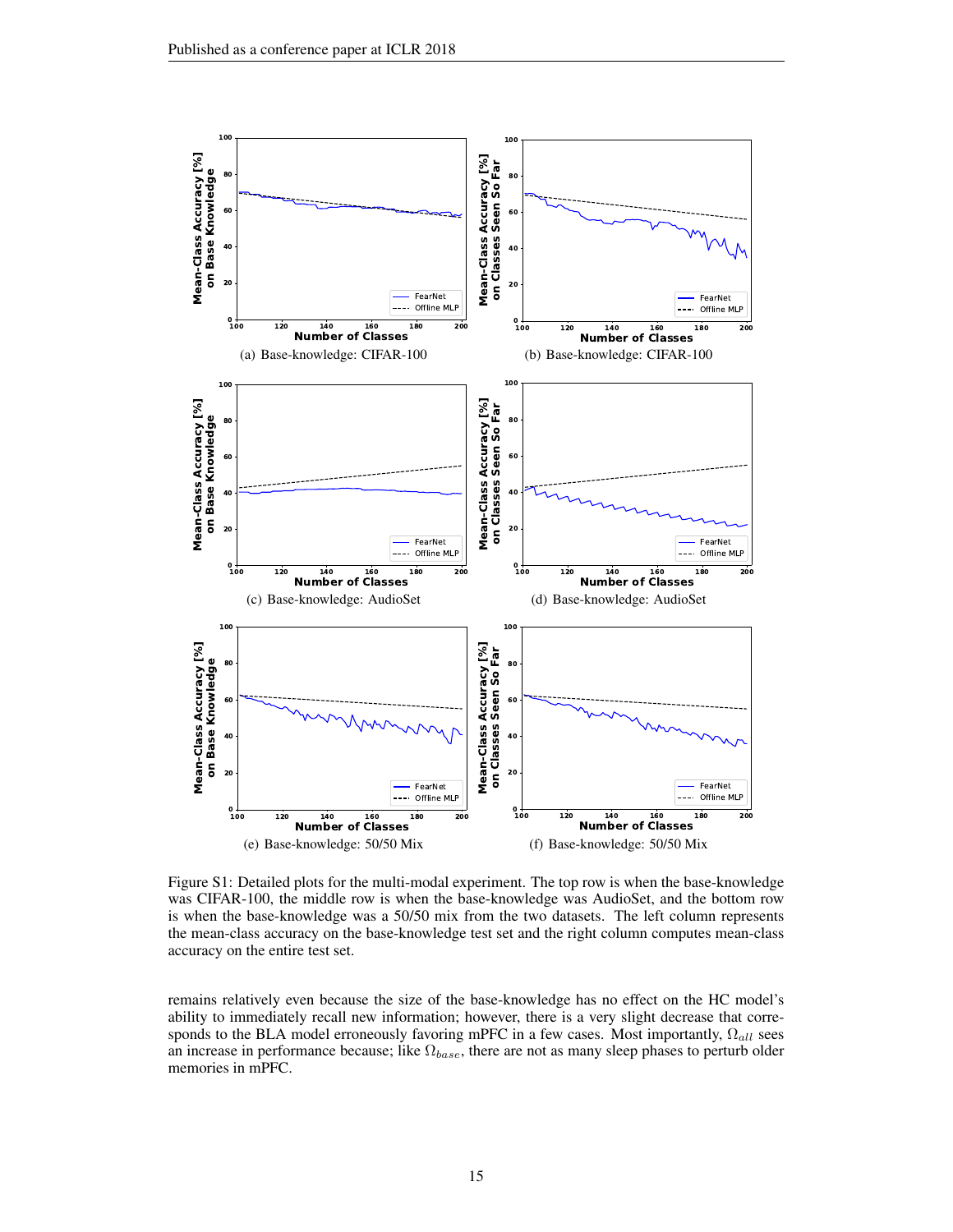

<span id="page-14-0"></span>Figure S1: Detailed plots for the multi-modal experiment. The top row is when the base-knowledge was CIFAR-100, the middle row is when the base-knowledge was AudioSet, and the bottom row is when the base-knowledge was a 50/50 mix from the two datasets. The left column represents the mean-class accuracy on the base-knowledge test set and the right column computes mean-class accuracy on the entire test set.

remains relatively even because the size of the base-knowledge has no effect on the HC model's ability to immediately recall new information; however, there is a very slight decrease that corresponds to the BLA model erroneously favoring mPFC in a few cases. Most importantly,  $\Omega_{all}$  sees an increase in performance because; like  $\Omega_{base}$ , there are not as many sleep phases to perturb older memories in mPFC.